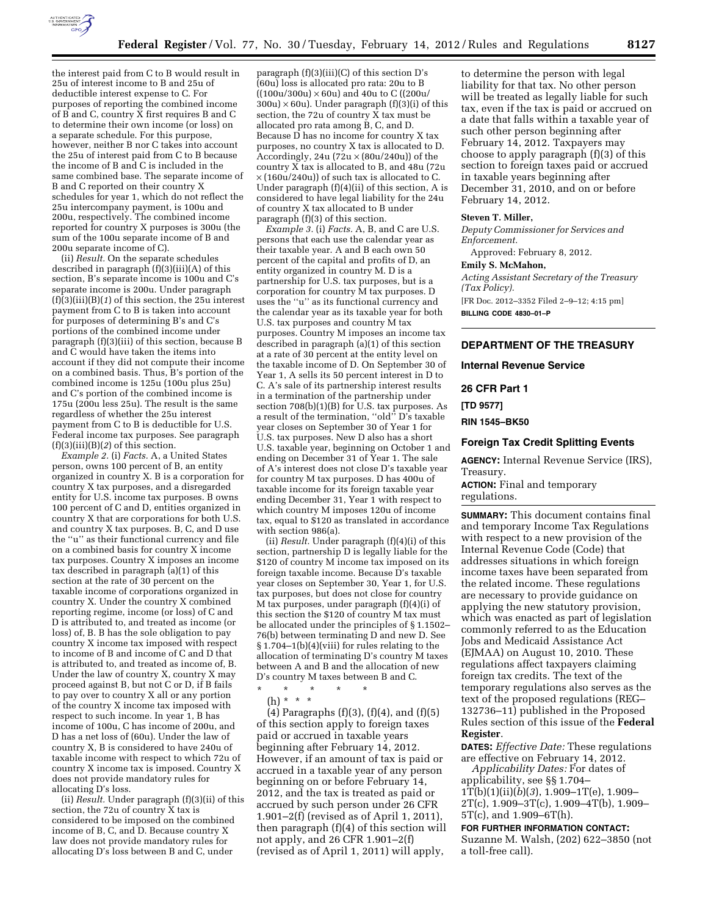

the interest paid from C to B would result in 25u of interest income to B and 25u of deductible interest expense to C. For purposes of reporting the combined income of B and C, country X first requires B and C to determine their own income (or loss) on a separate schedule. For this purpose, however, neither B nor C takes into account the 25u of interest paid from C to B because the income of B and C is included in the same combined base. The separate income of B and C reported on their country X schedules for year 1, which do not reflect the 25u intercompany payment, is 100u and 200u, respectively. The combined income reported for country X purposes is 300u (the sum of the 100u separate income of B and 200u separate income of C).

(ii) *Result.* On the separate schedules described in paragraph (f)(3)(iii)(A) of this section, B's separate income is 100u and C's separate income is 200u. Under paragraph  $(f)(3)(iii)(B)(1)$  of this section, the 25u interest payment from C to B is taken into account for purposes of determining B's and C's portions of the combined income under paragraph (f)(3)(iii) of this section, because B and C would have taken the items into account if they did not compute their income on a combined basis. Thus, B's portion of the combined income is 125u (100u plus 25u) and C's portion of the combined income is  $175u$  (200 $u$  less 25 $u$ ). The result is the same regardless of whether the 25u interest payment from C to B is deductible for U.S. Federal income tax purposes. See paragraph (f)(3)(iii)(B)(*2*) of this section.

*Example 2.* (i) *Facts.* A, a United States person, owns 100 percent of B, an entity organized in country X. B is a corporation for country X tax purposes, and a disregarded entity for U.S. income tax purposes. B owns 100 percent of C and D, entities organized in country X that are corporations for both U.S. and country X tax purposes. B, C, and D use the ''u'' as their functional currency and file on a combined basis for country X income tax purposes. Country X imposes an income tax described in paragraph (a)(1) of this section at the rate of 30 percent on the taxable income of corporations organized in country X. Under the country X combined reporting regime, income (or loss) of C and D is attributed to, and treated as income (or loss) of, B. B has the sole obligation to pay country X income tax imposed with respect to income of B and income of C and D that is attributed to, and treated as income of, B. Under the law of country X, country X may proceed against B, but not C or D, if B fails to pay over to country X all or any portion of the country X income tax imposed with respect to such income. In year 1, B has income of 100u, C has income of 200u, and D has a net loss of (60u). Under the law of country X, B is considered to have 240u of taxable income with respect to which 72u of country X income tax is imposed. Country X does not provide mandatory rules for allocating D's loss.

(ii) *Result.* Under paragraph (f)(3)(ii) of this section, the 72u of country  $\hat{X}$  tax is considered to be imposed on the combined income of B, C, and D. Because country X law does not provide mandatory rules for allocating D's loss between B and C, under

paragraph  $(f)(3)(iii)(C)$  of this section D's (60u) loss is allocated pro rata: 20u to B  $((100u/300u) \times 60u)$  and 40u to C $((200u/$  $300u \times 60u$ . Under paragraph  $(f)(3)(i)$  of this section, the 72u of country X tax must be allocated pro rata among B, C, and D. Because D has no income for country X tax purposes, no country X tax is allocated to D. Accordingly, 24u ( $72u \times (80u/240u)$ ) of the country X tax is allocated to B, and 48u (72u  $\times$  (160u/240u)) of such tax is allocated to C. Under paragraph (f)(4)(ii) of this section, A is considered to have legal liability for the 24u of country X tax allocated to B under paragraph (f)(3) of this section.

*Example 3.* (i) *Facts.* A, B, and C are U.S. persons that each use the calendar year as their taxable year. A and B each own 50 percent of the capital and profits of D, an entity organized in country M. D is a partnership for U.S. tax purposes, but is a corporation for country M tax purposes. D uses the ''u'' as its functional currency and the calendar year as its taxable year for both U.S. tax purposes and country M tax purposes. Country M imposes an income tax described in paragraph (a)(1) of this section at a rate of 30 percent at the entity level on the taxable income of D. On September 30 of Year 1, A sells its 50 percent interest in D to C. A's sale of its partnership interest results in a termination of the partnership under section 708(b)(1)(B) for U.S. tax purposes. As a result of the termination, ''old'' D's taxable year closes on September 30 of Year 1 for U.S. tax purposes. New D also has a short U.S. taxable year, beginning on October 1 and ending on December 31 of Year 1. The sale of A's interest does not close D's taxable year for country M tax purposes. D has 400u of taxable income for its foreign taxable year ending December 31, Year 1 with respect to which country M imposes 120u of income tax, equal to \$120 as translated in accordance with section 986(a).

(ii) *Result.* Under paragraph (f)(4)(i) of this section, partnership D is legally liable for the \$120 of country M income tax imposed on its foreign taxable income. Because D's taxable year closes on September 30, Year 1, for U.S. tax purposes, but does not close for country M tax purposes, under paragraph (f)(4)(i) of this section the \$120 of country M tax must be allocated under the principles of § 1.1502– 76(b) between terminating D and new D. See § 1.704–1(b)(4)(viii) for rules relating to the allocation of terminating D's country M taxes between A and B and the allocation of new D's country M taxes between B and C.

\* \* \* \* \* (h) \* \* \*

(4) Paragraphs (f)(3), (f)(4), and (f)(5) of this section apply to foreign taxes paid or accrued in taxable years beginning after February 14, 2012. However, if an amount of tax is paid or accrued in a taxable year of any person beginning on or before February 14, 2012, and the tax is treated as paid or accrued by such person under 26 CFR 1.901–2(f) (revised as of April 1, 2011), then paragraph (f)(4) of this section will not apply, and 26 CFR 1.901–2(f) (revised as of April 1, 2011) will apply,

to determine the person with legal liability for that tax. No other person will be treated as legally liable for such tax, even if the tax is paid or accrued on a date that falls within a taxable year of such other person beginning after February 14, 2012. Taxpayers may choose to apply paragraph (f)(3) of this section to foreign taxes paid or accrued in taxable years beginning after December 31, 2010, and on or before February 14, 2012.

## **Steven T. Miller,**

*Deputy Commissioner for Services and Enforcement.* 

Approved: February 8, 2012.

## **Emily S. McMahon,**

*Acting Assistant Secretary of the Treasury (Tax Policy).* 

[FR Doc. 2012–3352 Filed 2–9–12; 4:15 pm] **BILLING CODE 4830–01–P** 

## **DEPARTMENT OF THE TREASURY**

**Internal Revenue Service** 

**26 CFR Part 1** 

**[TD 9577]** 

**RIN 1545–BK50** 

## **Foreign Tax Credit Splitting Events**

**AGENCY:** Internal Revenue Service (IRS), Treasury.

**ACTION:** Final and temporary regulations.

**SUMMARY:** This document contains final and temporary Income Tax Regulations with respect to a new provision of the Internal Revenue Code (Code) that addresses situations in which foreign income taxes have been separated from the related income. These regulations are necessary to provide guidance on applying the new statutory provision, which was enacted as part of legislation commonly referred to as the Education Jobs and Medicaid Assistance Act (EJMAA) on August 10, 2010. These regulations affect taxpayers claiming foreign tax credits. The text of the temporary regulations also serves as the text of the proposed regulations (REG– 132736–11) published in the Proposed Rules section of this issue of the **Federal Register**.

**DATES:** *Effective Date:* These regulations are effective on February 14, 2012.

*Applicability Dates:* For dates of applicability, see §§ 1.704– 1T(b)(1)(ii)(*b*)(*3*), 1.909–1T(e), 1.909–  $2T(c)$ , 1.909–3 $T(c)$ , 1.909–4 $T(b)$ , 1.909– 5T(c), and 1.909–6T(h).

## **FOR FURTHER INFORMATION CONTACT:**

Suzanne M. Walsh, (202) 622–3850 (not a toll-free call).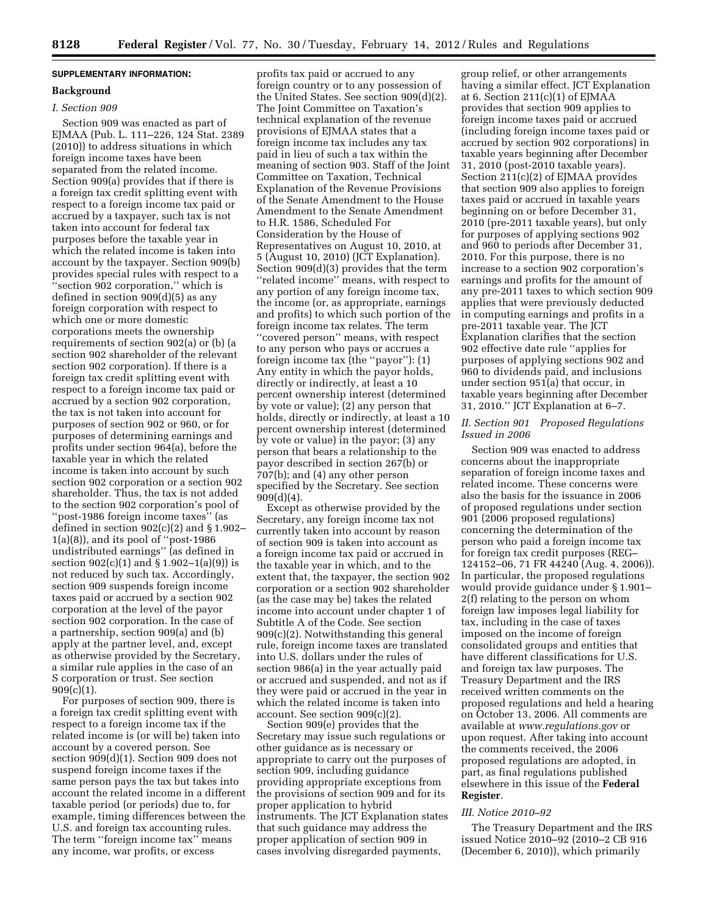# **SUPPLEMENTARY INFORMATION:**

## **Background**

## *I. Section 909*

Section 909 was enacted as part of EJMAA (Pub. L. 111–226, 124 Stat. 2389 (2010)) to address situations in which foreign income taxes have been separated from the related income. Section 909(a) provides that if there is a foreign tax credit splitting event with respect to a foreign income tax paid or accrued by a taxpayer, such tax is not taken into account for federal tax purposes before the taxable year in which the related income is taken into account by the taxpayer. Section 909(b) provides special rules with respect to a ''section 902 corporation,'' which is defined in section 909(d)(5) as any foreign corporation with respect to which one or more domestic corporations meets the ownership requirements of section 902(a) or (b) (a section 902 shareholder of the relevant section 902 corporation). If there is a foreign tax credit splitting event with respect to a foreign income tax paid or accrued by a section 902 corporation, the tax is not taken into account for purposes of section 902 or 960, or for purposes of determining earnings and profits under section 964(a), before the taxable year in which the related income is taken into account by such section 902 corporation or a section 902 shareholder. Thus, the tax is not added to the section 902 corporation's pool of ''post-1986 foreign income taxes'' (as defined in section  $902(c)(2)$  and § 1.902-1(a)(8)), and its pool of ''post-1986 undistributed earnings'' (as defined in section  $902(c)(1)$  and  $\S 1.902-1(a)(9)$  is not reduced by such tax. Accordingly, section 909 suspends foreign income taxes paid or accrued by a section 902 corporation at the level of the payor section 902 corporation. In the case of a partnership, section 909(a) and (b) apply at the partner level, and, except as otherwise provided by the Secretary, a similar rule applies in the case of an S corporation or trust. See section  $909(c)(1)$ .

For purposes of section 909, there is a foreign tax credit splitting event with respect to a foreign income tax if the related income is (or will be) taken into account by a covered person. See section 909(d)(1). Section 909 does not suspend foreign income taxes if the same person pays the tax but takes into account the related income in a different taxable period (or periods) due to, for example, timing differences between the U.S. and foreign tax accounting rules. The term ''foreign income tax'' means any income, war profits, or excess

profits tax paid or accrued to any foreign country or to any possession of the United States. See section 909(d)(2). The Joint Committee on Taxation's technical explanation of the revenue provisions of EJMAA states that a foreign income tax includes any tax paid in lieu of such a tax within the meaning of section 903. Staff of the Joint Committee on Taxation, Technical Explanation of the Revenue Provisions of the Senate Amendment to the House Amendment to the Senate Amendment to H.R. 1586, Scheduled For Consideration by the House of Representatives on August 10, 2010, at 5 (August 10, 2010) (JCT Explanation). Section 909(d)(3) provides that the term ''related income'' means, with respect to any portion of any foreign income tax, the income (or, as appropriate, earnings and profits) to which such portion of the foreign income tax relates. The term ''covered person'' means, with respect to any person who pays or accrues a foreign income tax (the ''payor''): (1) Any entity in which the payor holds, directly or indirectly, at least a 10 percent ownership interest (determined by vote or value);  $(2)$  any person that holds, directly or indirectly, at least a 10 percent ownership interest (determined by vote or value) in the payor; (3) any person that bears a relationship to the payor described in section 267(b) or 707(b); and (4) any other person specified by the Secretary. See section 909(d)(4).

Except as otherwise provided by the Secretary, any foreign income tax not currently taken into account by reason of section 909 is taken into account as a foreign income tax paid or accrued in the taxable year in which, and to the extent that, the taxpayer, the section 902 corporation or a section 902 shareholder (as the case may be) takes the related income into account under chapter 1 of Subtitle A of the Code. See section 909(c)(2). Notwithstanding this general rule, foreign income taxes are translated into U.S. dollars under the rules of section 986(a) in the year actually paid or accrued and suspended, and not as if they were paid or accrued in the year in which the related income is taken into account. See section 909(c)(2).

Section 909(e) provides that the Secretary may issue such regulations or other guidance as is necessary or appropriate to carry out the purposes of section 909, including guidance providing appropriate exceptions from the provisions of section 909 and for its proper application to hybrid instruments. The JCT Explanation states that such guidance may address the proper application of section 909 in cases involving disregarded payments,

group relief, or other arrangements having a similar effect. JCT Explanation at 6. Section  $211(c)(1)$  of EJMAA provides that section 909 applies to foreign income taxes paid or accrued (including foreign income taxes paid or accrued by section 902 corporations) in taxable years beginning after December 31, 2010 (post-2010 taxable years). Section 211(c)(2) of EJMAA provides that section 909 also applies to foreign taxes paid or accrued in taxable years beginning on or before December 31, 2010 (pre-2011 taxable years), but only for purposes of applying sections 902 and 960 to periods after December 31, 2010. For this purpose, there is no increase to a section 902 corporation's earnings and profits for the amount of any pre-2011 taxes to which section 909 applies that were previously deducted in computing earnings and profits in a pre-2011 taxable year. The JCT Explanation clarifies that the section 902 effective date rule ''applies for purposes of applying sections 902 and 960 to dividends paid, and inclusions under section 951(a) that occur, in taxable years beginning after December 31, 2010.'' JCT Explanation at 6–7.

## *II. Section 901 Proposed Regulations Issued in 2006*

Section 909 was enacted to address concerns about the inappropriate separation of foreign income taxes and related income. These concerns were also the basis for the issuance in 2006 of proposed regulations under section 901 (2006 proposed regulations) concerning the determination of the person who paid a foreign income tax for foreign tax credit purposes (REG– 124152–06, 71 FR 44240 (Aug. 4, 2006)). In particular, the proposed regulations would provide guidance under § 1.901– 2(f) relating to the person on whom foreign law imposes legal liability for tax, including in the case of taxes imposed on the income of foreign consolidated groups and entities that have different classifications for U.S. and foreign tax law purposes. The Treasury Department and the IRS received written comments on the proposed regulations and held a hearing on October 13, 2006. All comments are available at *[www.regulations.gov](http://www.regulations.gov)* or upon request. After taking into account the comments received, the 2006 proposed regulations are adopted, in part, as final regulations published elsewhere in this issue of the **Federal Register**.

#### *III. Notice 2010–92*

The Treasury Department and the IRS issued Notice 2010–92 (2010–2 CB 916 (December 6, 2010)), which primarily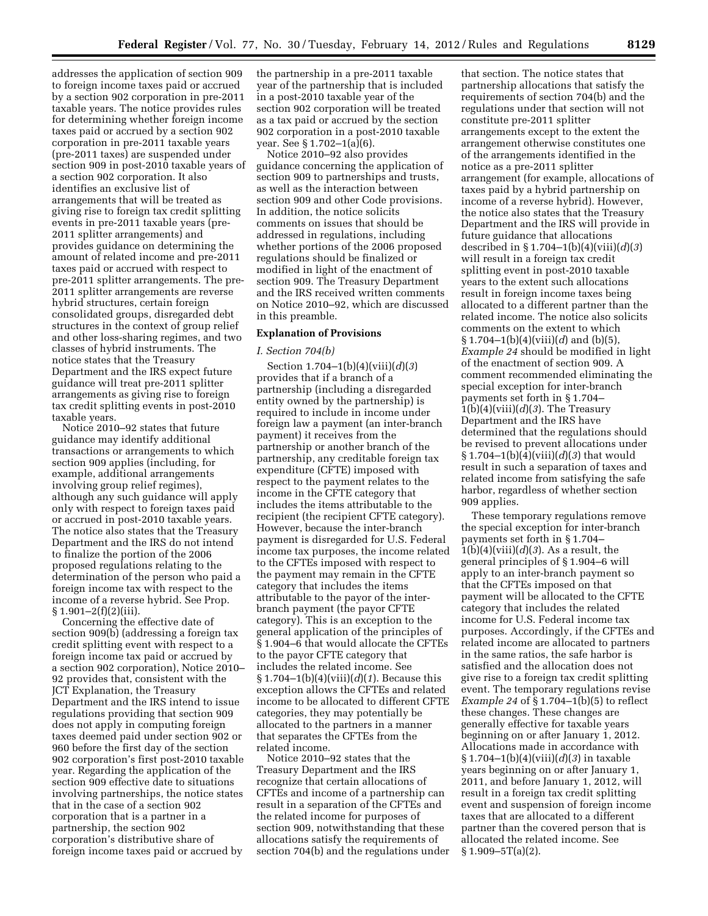addresses the application of section 909 to foreign income taxes paid or accrued by a section 902 corporation in pre-2011 taxable years. The notice provides rules for determining whether foreign income taxes paid or accrued by a section 902 corporation in pre-2011 taxable years (pre-2011 taxes) are suspended under section 909 in post-2010 taxable years of a section 902 corporation. It also identifies an exclusive list of arrangements that will be treated as giving rise to foreign tax credit splitting events in pre-2011 taxable years (pre-2011 splitter arrangements) and provides guidance on determining the amount of related income and pre-2011 taxes paid or accrued with respect to pre-2011 splitter arrangements. The pre-2011 splitter arrangements are reverse hybrid structures, certain foreign consolidated groups, disregarded debt structures in the context of group relief and other loss-sharing regimes, and two classes of hybrid instruments. The notice states that the Treasury Department and the IRS expect future guidance will treat pre-2011 splitter arrangements as giving rise to foreign tax credit splitting events in post-2010 taxable years.

Notice 2010–92 states that future guidance may identify additional transactions or arrangements to which section 909 applies (including, for example, additional arrangements involving group relief regimes), although any such guidance will apply only with respect to foreign taxes paid or accrued in post-2010 taxable years. The notice also states that the Treasury Department and the IRS do not intend to finalize the portion of the 2006 proposed regulations relating to the determination of the person who paid a foreign income tax with respect to the income of a reverse hybrid. See Prop. § 1.901–2(f)(2)(iii).

Concerning the effective date of section 909(b) (addressing a foreign tax credit splitting event with respect to a foreign income tax paid or accrued by a section 902 corporation), Notice 2010– 92 provides that, consistent with the JCT Explanation, the Treasury Department and the IRS intend to issue regulations providing that section 909 does not apply in computing foreign taxes deemed paid under section 902 or 960 before the first day of the section 902 corporation's first post-2010 taxable year. Regarding the application of the section 909 effective date to situations involving partnerships, the notice states that in the case of a section 902 corporation that is a partner in a partnership, the section 902 corporation's distributive share of foreign income taxes paid or accrued by

the partnership in a pre-2011 taxable year of the partnership that is included in a post-2010 taxable year of the section 902 corporation will be treated as a tax paid or accrued by the section 902 corporation in a post-2010 taxable year. See § 1.702–1(a)(6).

Notice 2010–92 also provides guidance concerning the application of section 909 to partnerships and trusts, as well as the interaction between section 909 and other Code provisions. In addition, the notice solicits comments on issues that should be addressed in regulations, including whether portions of the 2006 proposed regulations should be finalized or modified in light of the enactment of section 909. The Treasury Department and the IRS received written comments on Notice 2010–92, which are discussed in this preamble.

## **Explanation of Provisions**

#### *I. Section 704(b)*

Section 1.704–1(b)(4)(viii)(*d*)(*3*) provides that if a branch of a partnership (including a disregarded entity owned by the partnership) is required to include in income under foreign law a payment (an inter-branch payment) it receives from the partnership or another branch of the partnership, any creditable foreign tax expenditure (CFTE) imposed with respect to the payment relates to the income in the CFTE category that includes the items attributable to the recipient (the recipient CFTE category). However, because the inter-branch payment is disregarded for U.S. Federal income tax purposes, the income related to the CFTEs imposed with respect to the payment may remain in the CFTE category that includes the items attributable to the payor of the interbranch payment (the payor CFTE category). This is an exception to the general application of the principles of § 1.904–6 that would allocate the CFTEs to the payor CFTE category that includes the related income. See § 1.704–1(b)(4)(viii)(*d*)(*1*). Because this exception allows the CFTEs and related income to be allocated to different CFTE categories, they may potentially be allocated to the partners in a manner that separates the CFTEs from the related income.

Notice 2010–92 states that the Treasury Department and the IRS recognize that certain allocations of CFTEs and income of a partnership can result in a separation of the CFTEs and the related income for purposes of section 909, notwithstanding that these allocations satisfy the requirements of section 704(b) and the regulations under

that section. The notice states that partnership allocations that satisfy the requirements of section 704(b) and the regulations under that section will not constitute pre-2011 splitter arrangements except to the extent the arrangement otherwise constitutes one of the arrangements identified in the notice as a pre-2011 splitter arrangement (for example, allocations of taxes paid by a hybrid partnership on income of a reverse hybrid). However, the notice also states that the Treasury Department and the IRS will provide in future guidance that allocations described in § 1.704–1(b)(4)(viii)(*d*)(*3*) will result in a foreign tax credit splitting event in post-2010 taxable years to the extent such allocations result in foreign income taxes being allocated to a different partner than the related income. The notice also solicits comments on the extent to which § 1.704–1(b)(4)(viii)(*d*) and (b)(5), *Example 24* should be modified in light of the enactment of section 909. A comment recommended eliminating the special exception for inter-branch payments set forth in § 1.704–  $1(b)(4)(viii)(d)(3)$ . The Treasury Department and the IRS have determined that the regulations should be revised to prevent allocations under § 1.704–1(b)(4)(viii)(*d*)(*3*) that would result in such a separation of taxes and related income from satisfying the safe harbor, regardless of whether section 909 applies.

These temporary regulations remove the special exception for inter-branch payments set forth in § 1.704– 1(b)(4)(viii)(*d*)(*3*). As a result, the general principles of § 1.904–6 will apply to an inter-branch payment so that the CFTEs imposed on that payment will be allocated to the CFTE category that includes the related income for U.S. Federal income tax purposes. Accordingly, if the CFTEs and related income are allocated to partners in the same ratios, the safe harbor is satisfied and the allocation does not give rise to a foreign tax credit splitting event. The temporary regulations revise *Example 24* of § 1.704–1(b)(5) to reflect these changes. These changes are generally effective for taxable years beginning on or after January 1, 2012. Allocations made in accordance with § 1.704–1(b)(4)(viii)(*d*)(*3*) in taxable years beginning on or after January 1, 2011, and before January 1, 2012, will result in a foreign tax credit splitting event and suspension of foreign income taxes that are allocated to a different partner than the covered person that is allocated the related income. See  $§ 1.909 - 5T(a)(2).$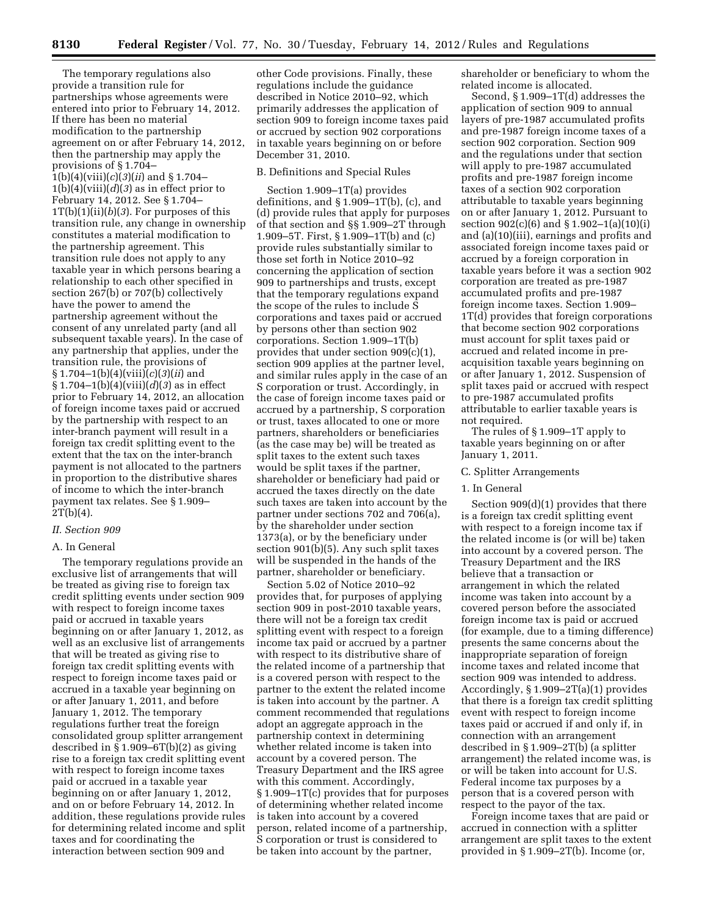The temporary regulations also provide a transition rule for partnerships whose agreements were entered into prior to February 14, 2012. If there has been no material modification to the partnership agreement on or after February 14, 2012, then the partnership may apply the provisions of § 1.704– 1(b)(4)(viii)(*c*)(*3*)(*ii*) and § 1.704–  $1(b)(4)(viii)(d)(3)$  as in effect prior to February 14, 2012. See § 1.704– 1T(b)(1)(ii)(*b*)(*3*). For purposes of this transition rule, any change in ownership constitutes a material modification to the partnership agreement. This transition rule does not apply to any taxable year in which persons bearing a relationship to each other specified in section 267(b) or 707(b) collectively have the power to amend the partnership agreement without the consent of any unrelated party (and all subsequent taxable years). In the case of any partnership that applies, under the transition rule, the provisions of § 1.704–1(b)(4)(viii)(*c*)(*3*)(*ii*) and § 1.704–1(b)(4)(viii)(*d*)(*3*) as in effect prior to February 14, 2012, an allocation of foreign income taxes paid or accrued by the partnership with respect to an inter-branch payment will result in a foreign tax credit splitting event to the extent that the tax on the inter-branch payment is not allocated to the partners in proportion to the distributive shares of income to which the inter-branch payment tax relates. See § 1.909–  $2T(b)(4)$ .

### *II. Section 909*

## A. In General

The temporary regulations provide an exclusive list of arrangements that will be treated as giving rise to foreign tax credit splitting events under section 909 with respect to foreign income taxes paid or accrued in taxable years beginning on or after January 1, 2012, as well as an exclusive list of arrangements that will be treated as giving rise to foreign tax credit splitting events with respect to foreign income taxes paid or accrued in a taxable year beginning on or after January 1, 2011, and before January 1, 2012. The temporary regulations further treat the foreign consolidated group splitter arrangement described in § 1.909–6T(b)(2) as giving rise to a foreign tax credit splitting event with respect to foreign income taxes paid or accrued in a taxable year beginning on or after January 1, 2012, and on or before February 14, 2012. In addition, these regulations provide rules for determining related income and split taxes and for coordinating the interaction between section 909 and

other Code provisions. Finally, these regulations include the guidance described in Notice 2010–92, which primarily addresses the application of section 909 to foreign income taxes paid or accrued by section 902 corporations in taxable years beginning on or before December 31, 2010.

### B. Definitions and Special Rules

Section 1.909–1T(a) provides definitions, and § 1.909–1T(b), (c), and (d) provide rules that apply for purposes of that section and §§ 1.909–2T through 1.909–5T. First, § 1.909–1T(b) and (c) provide rules substantially similar to those set forth in Notice 2010–92 concerning the application of section 909 to partnerships and trusts, except that the temporary regulations expand the scope of the rules to include S corporations and taxes paid or accrued by persons other than section 902 corporations. Section 1.909–1T(b) provides that under section 909(c)(1), section 909 applies at the partner level, and similar rules apply in the case of an S corporation or trust. Accordingly, in the case of foreign income taxes paid or accrued by a partnership, S corporation or trust, taxes allocated to one or more partners, shareholders or beneficiaries (as the case may be) will be treated as split taxes to the extent such taxes would be split taxes if the partner, shareholder or beneficiary had paid or accrued the taxes directly on the date such taxes are taken into account by the partner under sections 702 and 706(a), by the shareholder under section 1373(a), or by the beneficiary under section 901(b)(5). Any such split taxes will be suspended in the hands of the partner, shareholder or beneficiary.

Section 5.02 of Notice 2010–92 provides that, for purposes of applying section 909 in post-2010 taxable years, there will not be a foreign tax credit splitting event with respect to a foreign income tax paid or accrued by a partner with respect to its distributive share of the related income of a partnership that is a covered person with respect to the partner to the extent the related income is taken into account by the partner. A comment recommended that regulations adopt an aggregate approach in the partnership context in determining whether related income is taken into account by a covered person. The Treasury Department and the IRS agree with this comment. Accordingly, § 1.909–1T(c) provides that for purposes of determining whether related income is taken into account by a covered person, related income of a partnership, S corporation or trust is considered to be taken into account by the partner,

shareholder or beneficiary to whom the related income is allocated.

Second, § 1.909–1T(d) addresses the application of section 909 to annual layers of pre-1987 accumulated profits and pre-1987 foreign income taxes of a section 902 corporation. Section 909 and the regulations under that section will apply to pre-1987 accumulated profits and pre-1987 foreign income taxes of a section 902 corporation attributable to taxable years beginning on or after January 1, 2012. Pursuant to section 902(c)(6) and § 1.902–1(a)(10)(i) and (a)(10)(iii), earnings and profits and associated foreign income taxes paid or accrued by a foreign corporation in taxable years before it was a section 902 corporation are treated as pre-1987 accumulated profits and pre-1987 foreign income taxes. Section 1.909– 1T(d) provides that foreign corporations that become section 902 corporations must account for split taxes paid or accrued and related income in preacquisition taxable years beginning on or after January 1, 2012. Suspension of split taxes paid or accrued with respect to pre-1987 accumulated profits attributable to earlier taxable years is not required.

The rules of § 1.909–1T apply to taxable years beginning on or after January 1, 2011.

#### C. Splitter Arrangements

### 1. In General

Section 909(d)(1) provides that there is a foreign tax credit splitting event with respect to a foreign income tax if the related income is (or will be) taken into account by a covered person. The Treasury Department and the IRS believe that a transaction or arrangement in which the related income was taken into account by a covered person before the associated foreign income tax is paid or accrued (for example, due to a timing difference) presents the same concerns about the inappropriate separation of foreign income taxes and related income that section 909 was intended to address. Accordingly, § 1.909–2T(a)(1) provides that there is a foreign tax credit splitting event with respect to foreign income taxes paid or accrued if and only if, in connection with an arrangement described in § 1.909–2T(b) (a splitter arrangement) the related income was, is or will be taken into account for U.S. Federal income tax purposes by a person that is a covered person with respect to the payor of the tax.

Foreign income taxes that are paid or accrued in connection with a splitter arrangement are split taxes to the extent provided in § 1.909–2T(b). Income (or,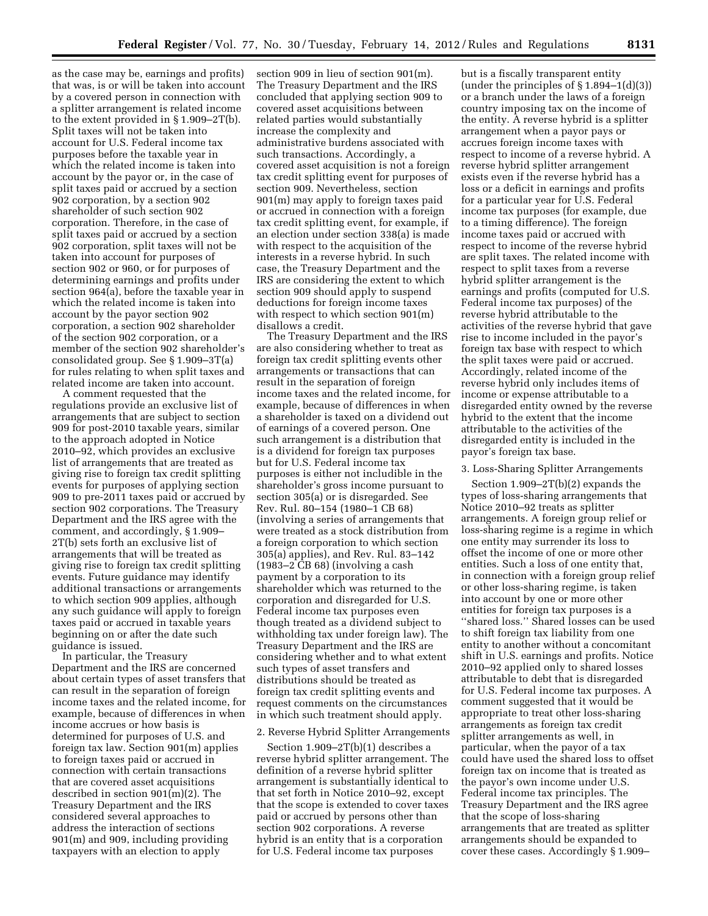as the case may be, earnings and profits) that was, is or will be taken into account by a covered person in connection with a splitter arrangement is related income to the extent provided in § 1.909–2T(b). Split taxes will not be taken into account for U.S. Federal income tax purposes before the taxable year in which the related income is taken into account by the payor or, in the case of split taxes paid or accrued by a section 902 corporation, by a section 902 shareholder of such section 902 corporation. Therefore, in the case of split taxes paid or accrued by a section 902 corporation, split taxes will not be taken into account for purposes of section 902 or 960, or for purposes of determining earnings and profits under section 964(a), before the taxable year in which the related income is taken into account by the payor section 902 corporation, a section 902 shareholder of the section 902 corporation, or a member of the section 902 shareholder's consolidated group. See § 1.909–3T(a) for rules relating to when split taxes and related income are taken into account.

A comment requested that the regulations provide an exclusive list of arrangements that are subject to section 909 for post-2010 taxable years, similar to the approach adopted in Notice 2010–92, which provides an exclusive list of arrangements that are treated as giving rise to foreign tax credit splitting events for purposes of applying section 909 to pre-2011 taxes paid or accrued by section 902 corporations. The Treasury Department and the IRS agree with the comment, and accordingly, § 1.909– 2T(b) sets forth an exclusive list of arrangements that will be treated as giving rise to foreign tax credit splitting events. Future guidance may identify additional transactions or arrangements to which section 909 applies, although any such guidance will apply to foreign taxes paid or accrued in taxable years beginning on or after the date such guidance is issued.

In particular, the Treasury Department and the IRS are concerned about certain types of asset transfers that can result in the separation of foreign income taxes and the related income, for example, because of differences in when income accrues or how basis is determined for purposes of U.S. and foreign tax law. Section 901(m) applies to foreign taxes paid or accrued in connection with certain transactions that are covered asset acquisitions described in section 901(m)(2). The Treasury Department and the IRS considered several approaches to address the interaction of sections 901(m) and 909, including providing taxpayers with an election to apply

section 909 in lieu of section 901(m). The Treasury Department and the IRS concluded that applying section 909 to covered asset acquisitions between related parties would substantially increase the complexity and administrative burdens associated with such transactions. Accordingly, a covered asset acquisition is not a foreign tax credit splitting event for purposes of section 909. Nevertheless, section 901(m) may apply to foreign taxes paid or accrued in connection with a foreign tax credit splitting event, for example, if an election under section 338(a) is made with respect to the acquisition of the interests in a reverse hybrid. In such case, the Treasury Department and the IRS are considering the extent to which section 909 should apply to suspend deductions for foreign income taxes with respect to which section 901(m) disallows a credit.

The Treasury Department and the IRS are also considering whether to treat as foreign tax credit splitting events other arrangements or transactions that can result in the separation of foreign income taxes and the related income, for example, because of differences in when a shareholder is taxed on a dividend out of earnings of a covered person. One such arrangement is a distribution that is a dividend for foreign tax purposes but for U.S. Federal income tax purposes is either not includible in the shareholder's gross income pursuant to section 305(a) or is disregarded. See Rev. Rul. 80–154 (1980–1 CB 68) (involving a series of arrangements that were treated as a stock distribution from a foreign corporation to which section 305(a) applies), and Rev. Rul. 83–142 (1983–2 CB 68) (involving a cash payment by a corporation to its shareholder which was returned to the corporation and disregarded for U.S. Federal income tax purposes even though treated as a dividend subject to withholding tax under foreign law). The Treasury Department and the IRS are considering whether and to what extent such types of asset transfers and distributions should be treated as foreign tax credit splitting events and request comments on the circumstances in which such treatment should apply.

## 2. Reverse Hybrid Splitter Arrangements

Section 1.909–2T(b)(1) describes a reverse hybrid splitter arrangement. The definition of a reverse hybrid splitter arrangement is substantially identical to that set forth in Notice 2010–92, except that the scope is extended to cover taxes paid or accrued by persons other than section 902 corporations. A reverse hybrid is an entity that is a corporation for U.S. Federal income tax purposes

but is a fiscally transparent entity (under the principles of § 1.894–1(d)(3)) or a branch under the laws of a foreign country imposing tax on the income of the entity. A reverse hybrid is a splitter arrangement when a payor pays or accrues foreign income taxes with respect to income of a reverse hybrid. A reverse hybrid splitter arrangement exists even if the reverse hybrid has a loss or a deficit in earnings and profits for a particular year for U.S. Federal income tax purposes (for example, due to a timing difference). The foreign income taxes paid or accrued with respect to income of the reverse hybrid are split taxes. The related income with respect to split taxes from a reverse hybrid splitter arrangement is the earnings and profits (computed for U.S. Federal income tax purposes) of the reverse hybrid attributable to the activities of the reverse hybrid that gave rise to income included in the payor's foreign tax base with respect to which the split taxes were paid or accrued. Accordingly, related income of the reverse hybrid only includes items of income or expense attributable to a disregarded entity owned by the reverse hybrid to the extent that the income attributable to the activities of the disregarded entity is included in the payor's foreign tax base.

### 3. Loss-Sharing Splitter Arrangements

Section 1.909–2T(b)(2) expands the types of loss-sharing arrangements that Notice 2010–92 treats as splitter arrangements. A foreign group relief or loss-sharing regime is a regime in which one entity may surrender its loss to offset the income of one or more other entities. Such a loss of one entity that, in connection with a foreign group relief or other loss-sharing regime, is taken into account by one or more other entities for foreign tax purposes is a ''shared loss.'' Shared losses can be used to shift foreign tax liability from one entity to another without a concomitant shift in U.S. earnings and profits. Notice 2010–92 applied only to shared losses attributable to debt that is disregarded for U.S. Federal income tax purposes. A comment suggested that it would be appropriate to treat other loss-sharing arrangements as foreign tax credit splitter arrangements as well, in particular, when the payor of a tax could have used the shared loss to offset foreign tax on income that is treated as the payor's own income under U.S. Federal income tax principles. The Treasury Department and the IRS agree that the scope of loss-sharing arrangements that are treated as splitter arrangements should be expanded to cover these cases. Accordingly § 1.909–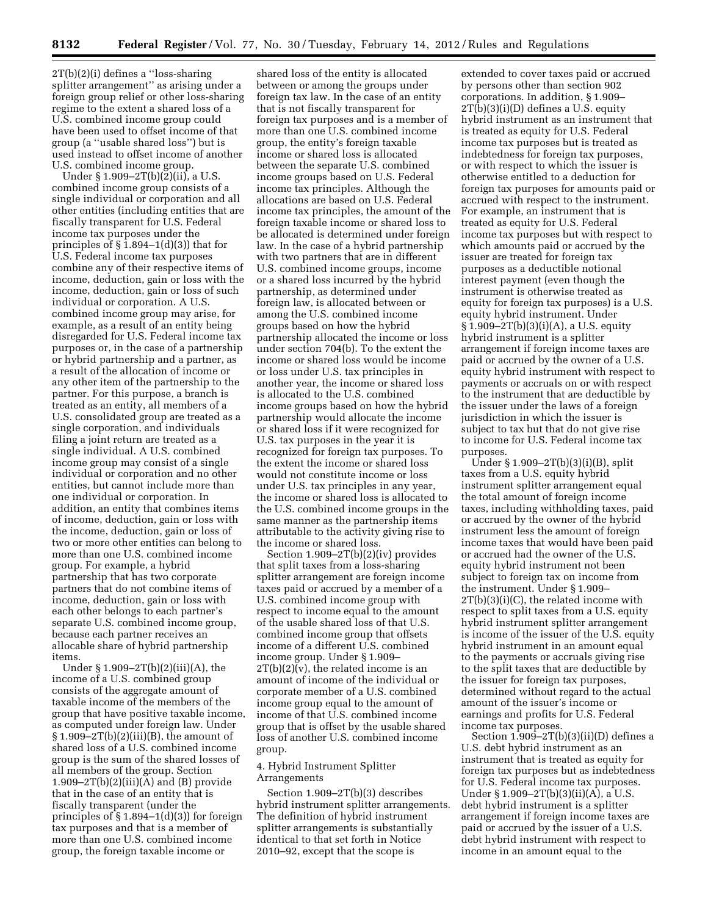2T(b)(2)(i) defines a ''loss-sharing splitter arrangement'' as arising under a foreign group relief or other loss-sharing regime to the extent a shared loss of a U.S. combined income group could have been used to offset income of that group (a ''usable shared loss'') but is used instead to offset income of another U.S. combined income group.

Under § 1.909–2T(b)(2)(ii), a U.S. combined income group consists of a single individual or corporation and all other entities (including entities that are fiscally transparent for U.S. Federal income tax purposes under the principles of  $\S 1.894-1(d)(3)$  that for U.S. Federal income tax purposes combine any of their respective items of income, deduction, gain or loss with the income, deduction, gain or loss of such individual or corporation. A U.S. combined income group may arise, for example, as a result of an entity being disregarded for U.S. Federal income tax purposes or, in the case of a partnership or hybrid partnership and a partner, as a result of the allocation of income or any other item of the partnership to the partner. For this purpose, a branch is treated as an entity, all members of a U.S. consolidated group are treated as a single corporation, and individuals filing a joint return are treated as a single individual. A U.S. combined income group may consist of a single individual or corporation and no other entities, but cannot include more than one individual or corporation. In addition, an entity that combines items of income, deduction, gain or loss with the income, deduction, gain or loss of two or more other entities can belong to more than one U.S. combined income group. For example, a hybrid partnership that has two corporate partners that do not combine items of income, deduction, gain or loss with each other belongs to each partner's separate U.S. combined income group, because each partner receives an allocable share of hybrid partnership items.

Under § 1.909–2T(b)(2)(iii)(A), the income of a U.S. combined group consists of the aggregate amount of taxable income of the members of the group that have positive taxable income, as computed under foreign law. Under  $§ 1.909-2T(b)(2)(iii)(B)$ , the amount of shared loss of a U.S. combined income group is the sum of the shared losses of all members of the group. Section  $1.909 - 2T(b)(2)(iii)(A)$  and (B) provide that in the case of an entity that is fiscally transparent (under the principles of  $\S 1.894-1(d)(3)$  for foreign tax purposes and that is a member of more than one U.S. combined income group, the foreign taxable income or

shared loss of the entity is allocated between or among the groups under foreign tax law. In the case of an entity that is not fiscally transparent for foreign tax purposes and is a member of more than one U.S. combined income group, the entity's foreign taxable income or shared loss is allocated between the separate U.S. combined income groups based on U.S. Federal income tax principles. Although the allocations are based on U.S. Federal income tax principles, the amount of the foreign taxable income or shared loss to be allocated is determined under foreign law. In the case of a hybrid partnership with two partners that are in different U.S. combined income groups, income or a shared loss incurred by the hybrid partnership, as determined under foreign law, is allocated between or among the U.S. combined income groups based on how the hybrid partnership allocated the income or loss under section 704(b). To the extent the income or shared loss would be income or loss under U.S. tax principles in another year, the income or shared loss is allocated to the U.S. combined income groups based on how the hybrid partnership would allocate the income or shared loss if it were recognized for U.S. tax purposes in the year it is recognized for foreign tax purposes. To the extent the income or shared loss would not constitute income or loss under U.S. tax principles in any year, the income or shared loss is allocated to the U.S. combined income groups in the same manner as the partnership items attributable to the activity giving rise to the income or shared loss.

Section 1.909–2T(b)(2)(iv) provides that split taxes from a loss-sharing splitter arrangement are foreign income taxes paid or accrued by a member of a U.S. combined income group with respect to income equal to the amount of the usable shared loss of that U.S. combined income group that offsets income of a different U.S. combined income group. Under § 1.909–  $2T(b)(2)(v)$ , the related income is an amount of income of the individual or corporate member of a U.S. combined income group equal to the amount of income of that U.S. combined income group that is offset by the usable shared loss of another U.S. combined income group.

## 4. Hybrid Instrument Splitter Arrangements

Section 1.909–2T(b)(3) describes hybrid instrument splitter arrangements. The definition of hybrid instrument splitter arrangements is substantially identical to that set forth in Notice 2010–92, except that the scope is

extended to cover taxes paid or accrued by persons other than section 902 corporations. In addition, § 1.909– 2T(b)(3)(i)(D) defines a U.S. equity hybrid instrument as an instrument that is treated as equity for U.S. Federal income tax purposes but is treated as indebtedness for foreign tax purposes, or with respect to which the issuer is otherwise entitled to a deduction for foreign tax purposes for amounts paid or accrued with respect to the instrument. For example, an instrument that is treated as equity for U.S. Federal income tax purposes but with respect to which amounts paid or accrued by the issuer are treated for foreign tax purposes as a deductible notional interest payment (even though the instrument is otherwise treated as equity for foreign tax purposes) is a U.S. equity hybrid instrument. Under § 1.909–2T(b)(3)(i)(A), a U.S. equity hybrid instrument is a splitter arrangement if foreign income taxes are paid or accrued by the owner of a U.S. equity hybrid instrument with respect to payments or accruals on or with respect to the instrument that are deductible by the issuer under the laws of a foreign jurisdiction in which the issuer is subject to tax but that do not give rise to income for U.S. Federal income tax purposes.

Under § 1.909–2T(b)(3)(i)(B), split taxes from a U.S. equity hybrid instrument splitter arrangement equal the total amount of foreign income taxes, including withholding taxes, paid or accrued by the owner of the hybrid instrument less the amount of foreign income taxes that would have been paid or accrued had the owner of the U.S. equity hybrid instrument not been subject to foreign tax on income from the instrument. Under § 1.909– 2T(b)(3)(i)(C), the related income with respect to split taxes from a U.S. equity hybrid instrument splitter arrangement is income of the issuer of the U.S. equity hybrid instrument in an amount equal to the payments or accruals giving rise to the split taxes that are deductible by the issuer for foreign tax purposes, determined without regard to the actual amount of the issuer's income or earnings and profits for U.S. Federal income tax purposes.

Section  $1.909 - 2T(b)(3)(ii)(D)$  defines a U.S. debt hybrid instrument as an instrument that is treated as equity for foreign tax purposes but as indebtedness for U.S. Federal income tax purposes. Under § 1.909–2T(b)(3)(ii)(A), a U.S. debt hybrid instrument is a splitter arrangement if foreign income taxes are paid or accrued by the issuer of a U.S. debt hybrid instrument with respect to income in an amount equal to the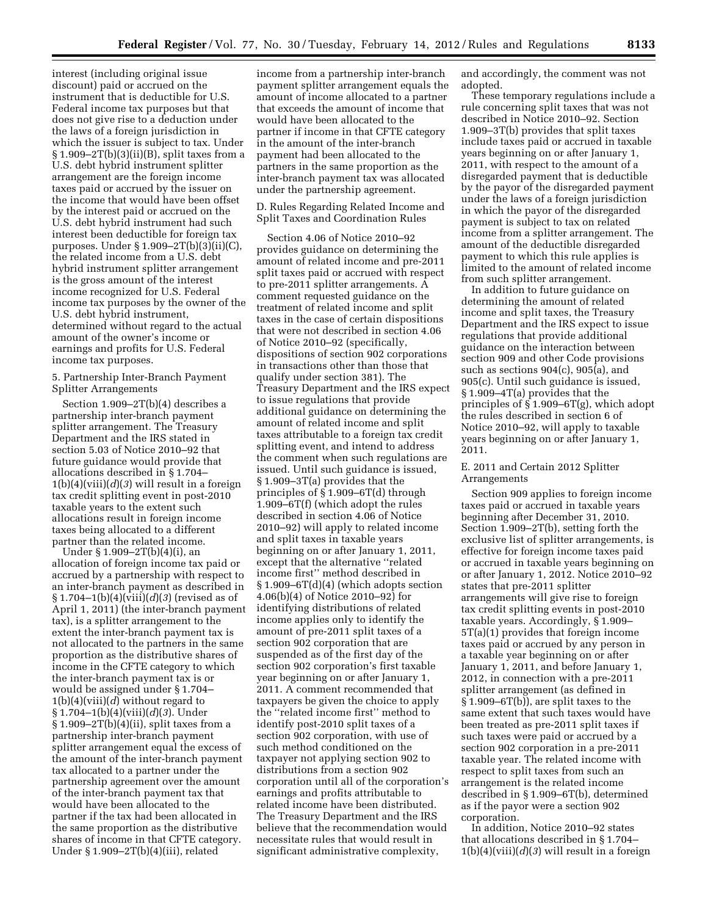interest (including original issue discount) paid or accrued on the instrument that is deductible for U.S. Federal income tax purposes but that does not give rise to a deduction under the laws of a foreign jurisdiction in which the issuer is subject to tax. Under § 1.909–2T(b)(3)(ii)(B), split taxes from a U.S. debt hybrid instrument splitter arrangement are the foreign income taxes paid or accrued by the issuer on the income that would have been offset by the interest paid or accrued on the U.S. debt hybrid instrument had such interest been deductible for foreign tax purposes. Under § 1.909–2T(b)(3)(ii)(C), the related income from a U.S. debt hybrid instrument splitter arrangement is the gross amount of the interest income recognized for U.S. Federal income tax purposes by the owner of the U.S. debt hybrid instrument, determined without regard to the actual amount of the owner's income or earnings and profits for U.S. Federal income tax purposes.

5. Partnership Inter-Branch Payment Splitter Arrangements

Section 1.909–2T(b)(4) describes a partnership inter-branch payment splitter arrangement. The Treasury Department and the IRS stated in section 5.03 of Notice 2010–92 that future guidance would provide that allocations described in § 1.704–  $1(b)(4)(viii)(d)(3)$  will result in a foreign tax credit splitting event in post-2010 taxable years to the extent such allocations result in foreign income taxes being allocated to a different partner than the related income.

Under § 1.909–2T(b)(4)(i), an allocation of foreign income tax paid or accrued by a partnership with respect to an inter-branch payment as described in § 1.704–1(b)(4)(viii)(*d*)(*3*) (revised as of April 1, 2011) (the inter-branch payment tax), is a splitter arrangement to the extent the inter-branch payment tax is not allocated to the partners in the same proportion as the distributive shares of income in the CFTE category to which the inter-branch payment tax is or would be assigned under § 1.704– 1(b)(4)(viii)(*d*) without regard to § 1.704–1(b)(4)(viii)(*d*)(*3*). Under  $§ 1.909-2T(b)(4)(ii)$ , split taxes from a partnership inter-branch payment splitter arrangement equal the excess of the amount of the inter-branch payment tax allocated to a partner under the partnership agreement over the amount of the inter-branch payment tax that would have been allocated to the partner if the tax had been allocated in the same proportion as the distributive shares of income in that CFTE category. Under § 1.909–2T(b)(4)(iii), related

income from a partnership inter-branch payment splitter arrangement equals the amount of income allocated to a partner that exceeds the amount of income that would have been allocated to the partner if income in that CFTE category in the amount of the inter-branch payment had been allocated to the partners in the same proportion as the inter-branch payment tax was allocated under the partnership agreement.

D. Rules Regarding Related Income and Split Taxes and Coordination Rules

Section 4.06 of Notice 2010–92 provides guidance on determining the amount of related income and pre-2011 split taxes paid or accrued with respect to pre-2011 splitter arrangements. A comment requested guidance on the treatment of related income and split taxes in the case of certain dispositions that were not described in section 4.06 of Notice 2010–92 (specifically, dispositions of section 902 corporations in transactions other than those that qualify under section 381). The Treasury Department and the IRS expect to issue regulations that provide additional guidance on determining the amount of related income and split taxes attributable to a foreign tax credit splitting event, and intend to address the comment when such regulations are issued. Until such guidance is issued, § 1.909–3T(a) provides that the principles of § 1.909–6T(d) through 1.909–6T(f) (which adopt the rules described in section 4.06 of Notice 2010–92) will apply to related income and split taxes in taxable years beginning on or after January 1, 2011, except that the alternative ''related income first'' method described in  $§ 1.909-6T(d)(4)$  (which adopts section 4.06(b)(4) of Notice 2010–92) for identifying distributions of related income applies only to identify the amount of pre-2011 split taxes of a section 902 corporation that are suspended as of the first day of the section 902 corporation's first taxable year beginning on or after January 1, 2011. A comment recommended that taxpayers be given the choice to apply the ''related income first'' method to identify post-2010 split taxes of a section 902 corporation, with use of such method conditioned on the taxpayer not applying section 902 to distributions from a section 902 corporation until all of the corporation's earnings and profits attributable to related income have been distributed. The Treasury Department and the IRS believe that the recommendation would necessitate rules that would result in significant administrative complexity,

and accordingly, the comment was not adopted.

These temporary regulations include a rule concerning split taxes that was not described in Notice 2010–92. Section 1.909–3T(b) provides that split taxes include taxes paid or accrued in taxable years beginning on or after January 1, 2011, with respect to the amount of a disregarded payment that is deductible by the payor of the disregarded payment under the laws of a foreign jurisdiction in which the payor of the disregarded payment is subject to tax on related income from a splitter arrangement. The amount of the deductible disregarded payment to which this rule applies is limited to the amount of related income from such splitter arrangement.

In addition to future guidance on determining the amount of related income and split taxes, the Treasury Department and the IRS expect to issue regulations that provide additional guidance on the interaction between section 909 and other Code provisions such as sections 904(c), 905(a), and 905(c). Until such guidance is issued, § 1.909–4T(a) provides that the principles of § 1.909–6T(g), which adopt the rules described in section 6 of Notice 2010–92, will apply to taxable years beginning on or after January 1, 2011.

## E. 2011 and Certain 2012 Splitter Arrangements

Section 909 applies to foreign income taxes paid or accrued in taxable years beginning after December 31, 2010. Section 1.909–2T(b), setting forth the exclusive list of splitter arrangements, is effective for foreign income taxes paid or accrued in taxable years beginning on or after January 1, 2012. Notice 2010–92 states that pre-2011 splitter arrangements will give rise to foreign tax credit splitting events in post-2010 taxable years. Accordingly, § 1.909– 5T(a)(1) provides that foreign income taxes paid or accrued by any person in a taxable year beginning on or after January 1, 2011, and before January 1, 2012, in connection with a pre-2011 splitter arrangement (as defined in § 1.909–6T(b)), are split taxes to the same extent that such taxes would have been treated as pre-2011 split taxes if such taxes were paid or accrued by a section 902 corporation in a pre-2011 taxable year. The related income with respect to split taxes from such an arrangement is the related income described in § 1.909–6T(b), determined as if the payor were a section 902 corporation.

In addition, Notice 2010–92 states that allocations described in § 1.704–  $1(b)(4)(viii)(d)(3)$  will result in a foreign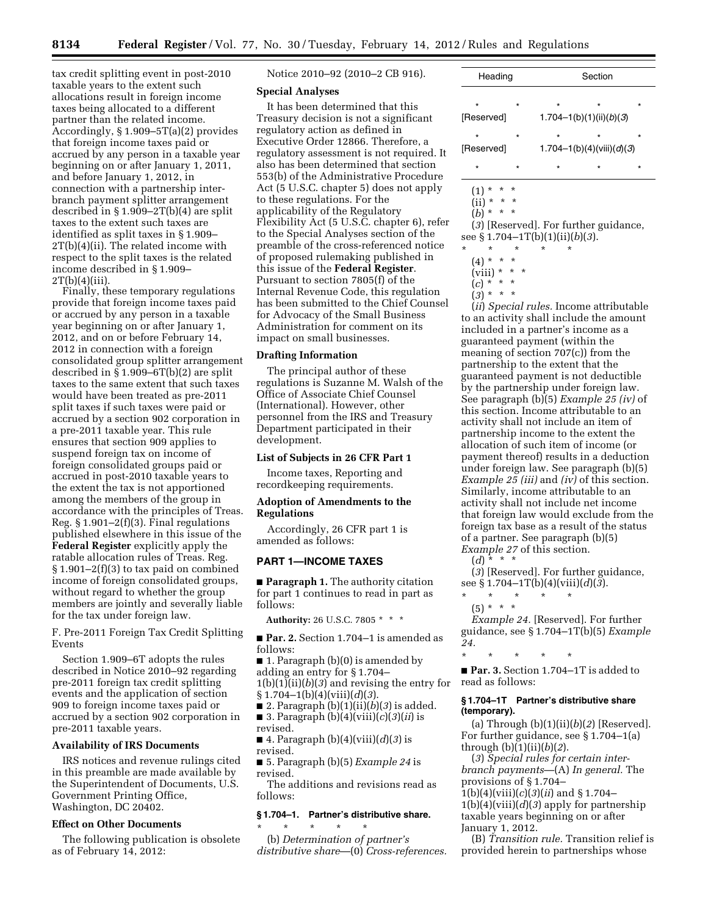tax credit splitting event in post-2010 taxable years to the extent such allocations result in foreign income taxes being allocated to a different partner than the related income. Accordingly, § 1.909–5T(a)(2) provides that foreign income taxes paid or accrued by any person in a taxable year beginning on or after January 1, 2011, and before January 1, 2012, in connection with a partnership interbranch payment splitter arrangement described in § 1.909–2T(b)(4) are split taxes to the extent such taxes are identified as split taxes in § 1.909– 2T(b)(4)(ii). The related income with respect to the split taxes is the related income described in § 1.909–  $2T(b)(4)(iii)$ .

Finally, these temporary regulations provide that foreign income taxes paid or accrued by any person in a taxable year beginning on or after January 1, 2012, and on or before February 14, 2012 in connection with a foreign consolidated group splitter arrangement described in  $\overline{\S}$  1.909–6T(b)(2) are split taxes to the same extent that such taxes would have been treated as pre-2011 split taxes if such taxes were paid or accrued by a section 902 corporation in a pre-2011 taxable year. This rule ensures that section 909 applies to suspend foreign tax on income of foreign consolidated groups paid or accrued in post-2010 taxable years to the extent the tax is not apportioned among the members of the group in accordance with the principles of Treas. Reg. § 1.901–2(f)(3). Final regulations published elsewhere in this issue of the **Federal Register** explicitly apply the ratable allocation rules of Treas. Reg. § 1.901–2(f)(3) to tax paid on combined income of foreign consolidated groups, without regard to whether the group members are jointly and severally liable for the tax under foreign law.

F. Pre-2011 Foreign Tax Credit Splitting Events

Section 1.909–6T adopts the rules described in Notice 2010–92 regarding pre-2011 foreign tax credit splitting events and the application of section 909 to foreign income taxes paid or accrued by a section 902 corporation in pre-2011 taxable years.

#### **Availability of IRS Documents**

IRS notices and revenue rulings cited in this preamble are made available by the Superintendent of Documents, U.S. Government Printing Office, Washington, DC 20402.

#### **Effect on Other Documents**

The following publication is obsolete as of February 14, 2012:

Notice 2010–92 (2010–2 CB 916).

## **Special Analyses**

It has been determined that this Treasury decision is not a significant regulatory action as defined in Executive Order 12866. Therefore, a regulatory assessment is not required. It also has been determined that section 553(b) of the Administrative Procedure Act (5 U.S.C. chapter 5) does not apply to these regulations. For the applicability of the Regulatory Flexibility Act (5 U.S.C. chapter 6), refer to the Special Analyses section of the preamble of the cross-referenced notice of proposed rulemaking published in this issue of the **Federal Register**. Pursuant to section 7805(f) of the Internal Revenue Code, this regulation has been submitted to the Chief Counsel for Advocacy of the Small Business Administration for comment on its impact on small businesses.

#### **Drafting Information**

The principal author of these regulations is Suzanne M. Walsh of the Office of Associate Chief Counsel (International). However, other personnel from the IRS and Treasury Department participated in their development.

### **List of Subjects in 26 CFR Part 1**

Income taxes, Reporting and recordkeeping requirements.

## **Adoption of Amendments to the Regulations**

Accordingly, 26 CFR part 1 is amended as follows:

## **PART 1—INCOME TAXES**

■ **Paragraph 1.** The authority citation for part 1 continues to read in part as follows:

**Authority:** 26 U.S.C. 7805 \* \* \*

■ **Par. 2.** Section 1.704–1 is amended as follows:

- 1. Paragraph (b)(0) is amended by
- adding an entry for § 1.704–

1(b)(1)(ii)(*b*)(*3*) and revising the entry for

§ 1.704–1(b)(4)(viii)(*d*)(*3*).

■ 2. Paragraph (b)(1)(ii)(*b*)(*3*) is added. ■ 3. Paragraph (b)(4)(viii)(*c*)(*3*)(*ii*) is

revised.

■ 4. Paragraph (b)(4)(viii)(*d*)(*3*) is revised.

■ 5. Paragraph (b)(5) *Example 24* is revised.

The additions and revisions read as follows:

### **§ 1.704–1. Partner's distributive share.**

\* \* \* \* \*

(b) *Determination of partner's distributive share*—(0) *Cross-references.* 

| Heading               |         | Section                              |         |         |
|-----------------------|---------|--------------------------------------|---------|---------|
| $\star$<br>[Reserved] | $\star$ | $\star$<br>1.704-1(b)(1)(ii)(b)(3)   | $\star$ | $\star$ |
| $\star$<br>[Reserved] | $\star$ | $\star$<br>1.704-1(b)(4)(viii)(d)(3) | $\star$ | $\star$ |
| $\star$               | $\star$ | $\star$                              | $\star$ | $\star$ |
|                       |         |                                      |         |         |

 $(1) * * * *$  $(iii) * * * *$ 

(*b*) \* \* \*

(*3*) [Reserved]. For further guidance, see § 1.704–1T(b)(1)(ii)(*b*)(*3*).

- \* \* \* \* \*  $(4) * * * *$ 
	- $(viii) * * * *$
	- $(c) * * * *$

 $(3) * * * *$ 

(*ii*) *Special rules.* Income attributable to an activity shall include the amount included in a partner's income as a guaranteed payment (within the meaning of section 707(c)) from the partnership to the extent that the guaranteed payment is not deductible by the partnership under foreign law. See paragraph (b)(5) *Example 25 (iv)* of this section. Income attributable to an activity shall not include an item of partnership income to the extent the allocation of such item of income (or payment thereof) results in a deduction under foreign law. See paragraph (b)(5) *Example 25 (iii)* and *(iv)* of this section. Similarly, income attributable to an activity shall not include net income that foreign law would exclude from the foreign tax base as a result of the status of a partner. See paragraph (b)(5) *Example 27* of this section.

 $(d)$  \* \* \*

(*3*) [Reserved]. For further guidance, see § 1.704–1T(b)(4)(viii)(*d*)(*3*).

\* \* \* \* \*  $(5) * * * *$ 

*Example 24.* [Reserved]. For further guidance, see § 1.704–1T(b)(5) *Example 24.* 

\* \* \* \* \*

■ **Par. 3.** Section 1.704–1T is added to read as follows:

## **§ 1.704–1T Partner's distributive share (temporary).**

(a) Through (b)(1)(ii)(*b*)(*2*) [Reserved]. For further guidance, see § 1.704–1(a) through (b)(1)(ii)(*b*)(*2*).

(*3*) *Special rules for certain interbranch payments*—(A) *In general.* The provisions of § 1.704–

1(b)(4)(viii)(*c*)(*3*)(*ii*) and § 1.704– 1(b)(4)(viii)(*d*)(*3*) apply for partnership taxable years beginning on or after January 1, 2012.

(B) *Transition rule.* Transition relief is provided herein to partnerships whose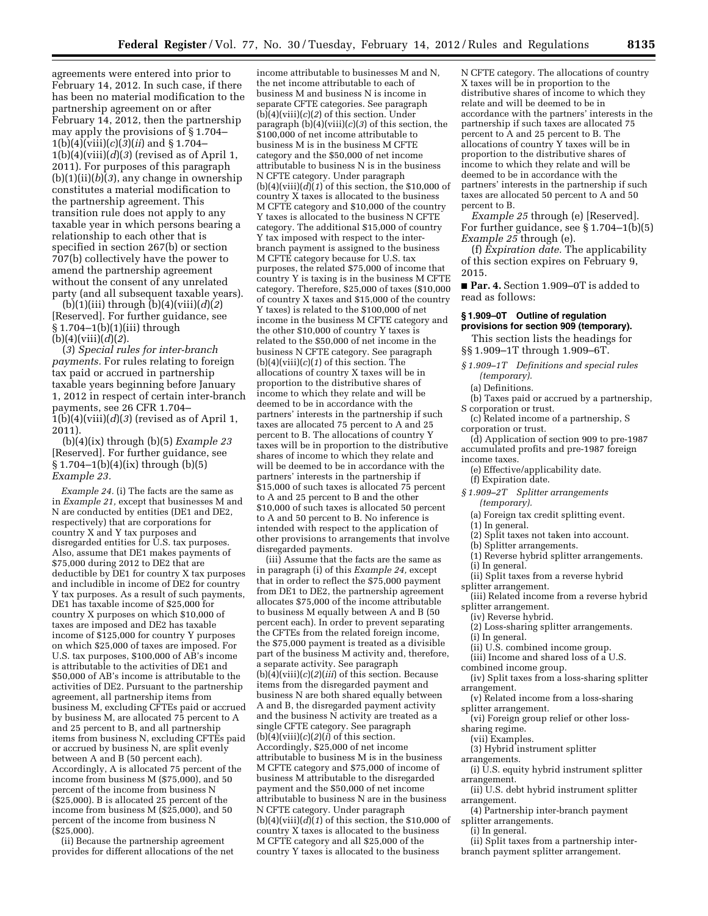agreements were entered into prior to February 14, 2012. In such case, if there has been no material modification to the partnership agreement on or after February 14, 2012, then the partnership may apply the provisions of § 1.704– 1(b)(4)(viii)(*c*)(*3*)(*ii*) and § 1.704– 1(b)(4)(viii)(*d*)(*3*) (revised as of April 1, 2011). For purposes of this paragraph (b)(1)(ii)(*b*)(*3*), any change in ownership constitutes a material modification to the partnership agreement. This transition rule does not apply to any taxable year in which persons bearing a relationship to each other that is specified in section 267(b) or section 707(b) collectively have the power to amend the partnership agreement without the consent of any unrelated party (and all subsequent taxable years).

(b)(1)(iii) through (b)(4)(viii)(*d*)(*2*) [Reserved]. For further guidance, see § 1.704–1(b)(1)(iii) through (b)(4)(viii)(*d*)(*2*).

(*3*) *Special rules for inter-branch payments.* For rules relating to foreign tax paid or accrued in partnership taxable years beginning before January 1, 2012 in respect of certain inter-branch payments, see 26 CFR 1.704–  $1(b)(4)(viii)(d)(3)$  (revised as of April 1, 2011).

(b)(4)(ix) through (b)(5) *Example 23*  [Reserved]. For further guidance, see § 1.704–1(b)(4)(ix) through (b)(5) *Example 23.* 

*Example 24.* (i) The facts are the same as in *Example 21,* except that businesses M and N are conducted by entities (DE1 and DE2, respectively) that are corporations for country X and Y tax purposes and disregarded entities for U.S. tax purposes. Also, assume that DE1 makes payments of \$75,000 during 2012 to DE2 that are deductible by DE1 for country X tax purposes and includible in income of DE2 for country Y tax purposes. As a result of such payments, DE1 has taxable income of \$25,000 for country X purposes on which \$10,000 of taxes are imposed and DE2 has taxable income of \$125,000 for country Y purposes on which \$25,000 of taxes are imposed. For U.S. tax purposes, \$100,000 of AB's income is attributable to the activities of DE1 and \$50,000 of AB's income is attributable to the activities of DE2. Pursuant to the partnership agreement, all partnership items from business M, excluding CFTEs paid or accrued by business M, are allocated 75 percent to A and 25 percent to B, and all partnership items from business N, excluding CFTEs paid or accrued by business N, are split evenly between A and B (50 percent each). Accordingly, A is allocated 75 percent of the income from business M ( $$75,000$ ), and  $50$ percent of the income from business N (\$25,000). B is allocated 25 percent of the income from business M (\$25,000), and 50 percent of the income from business N  $($ \$25,000).

(ii) Because the partnership agreement provides for different allocations of the net

income attributable to businesses M and N, the net income attributable to each of business M and business N is income in separate CFTE categories. See paragraph  $(b)(4)(viii)(c)(2)$  of this section. Under paragraph (b)(4)(viii)(*c*)(*3*) of this section, the \$100,000 of net income attributable to business M is in the business M CFTE category and the \$50,000 of net income attributable to business N is in the business N CFTE category. Under paragraph  $(b)(4)(viii)(d)(1)$  of this section, the \$10,000 of country X taxes is allocated to the business M CFTE category and \$10,000 of the country Y taxes is allocated to the business N CFTE category. The additional \$15,000 of country Y tax imposed with respect to the interbranch payment is assigned to the business M CFTE category because for U.S. tax purposes, the related \$75,000 of income that country Y is taxing is in the business M CFTE category. Therefore, \$25,000 of taxes (\$10,000 of country X taxes and \$15,000 of the country Y taxes) is related to the \$100,000 of net income in the business M CFTE category and the other \$10,000 of country Y taxes is related to the \$50,000 of net income in the business N CFTE category. See paragraph  $(b)(4)(viii)(c)(1)$  of this section. The allocations of country X taxes will be in proportion to the distributive shares of income to which they relate and will be deemed to be in accordance with the partners' interests in the partnership if such taxes are allocated 75 percent to A and 25 percent to B. The allocations of country Y taxes will be in proportion to the distributive shares of income to which they relate and will be deemed to be in accordance with the partners' interests in the partnership if \$15,000 of such taxes is allocated 75 percent to A and 25 percent to B and the other \$10,000 of such taxes is allocated 50 percent to A and 50 percent to B. No inference is intended with respect to the application of other provisions to arrangements that involve disregarded payments.

(iii) Assume that the facts are the same as in paragraph (i) of this *Example 24,* except that in order to reflect the \$75,000 payment from DE1 to DE2, the partnership agreement allocates \$75,000 of the income attributable to business M equally between A and B (50 percent each). In order to prevent separating the CFTEs from the related foreign income, the \$75,000 payment is treated as a divisible part of the business M activity and, therefore, a separate activity. See paragraph  $(b)(4)(viii)(c)(2)(iii)$  of this section. Because items from the disregarded payment and business N are both shared equally between A and B, the disregarded payment activity and the business N activity are treated as a single CFTE category. See paragraph  $(b)(4)(viii)(c)(2)(i)$  of this section. Accordingly, \$25,000 of net income attributable to business M is in the business M CFTE category and \$75,000 of income of business M attributable to the disregarded payment and the \$50,000 of net income attributable to business N are in the business N CFTE category. Under paragraph (b)(4)(viii)(*d*)(*1*) of this section, the \$10,000 of country X taxes is allocated to the business M CFTE category and all \$25,000 of the country Y taxes is allocated to the business

N CFTE category. The allocations of country X taxes will be in proportion to the distributive shares of income to which they relate and will be deemed to be in accordance with the partners' interests in the partnership if such taxes are allocated 75 percent to A and 25 percent to B. The allocations of country Y taxes will be in proportion to the distributive shares of income to which they relate and will be deemed to be in accordance with the partners' interests in the partnership if such taxes are allocated 50 percent to A and 50 percent to B.

*Example 25* through (e) [Reserved]. For further guidance, see  $\S 1.704-1(b)(5)$ *Example 25* through (e).

(f) *Expiration date.* The applicability of this section expires on February 9, 2015.

■ **Par. 4.** Section 1.909–0T is added to read as follows:

## **§ 1.909–0T Outline of regulation provisions for section 909 (temporary).**

This section lists the headings for §§ 1.909–1T through 1.909–6T.

*§ 1.909–1T Definitions and special rules (temporary).* 

(a) Definitions.

(b) Taxes paid or accrued by a partnership, S corporation or trust.

(c) Related income of a partnership, S corporation or trust.

(d) Application of section 909 to pre-1987 accumulated profits and pre-1987 foreign income taxes.

(e) Effective/applicability date. (f) Expiration date.

- *§ 1.909–2T Splitter arrangements (temporary).* 
	- (a) Foreign tax credit splitting event.

(1) In general.

(2) Split taxes not taken into account.

(b) Splitter arrangements.

- (1) Reverse hybrid splitter arrangements.
- (i) In general.
- (ii) Split taxes from a reverse hybrid
- splitter arrangement. (iii) Related income from a reverse hybrid splitter arrangement.
- (iv) Reverse hybrid.

(2) Loss-sharing splitter arrangements. (i) In general.

- 
- (ii) U.S. combined income group. (iii) Income and shared loss of a U.S.
- combined income group.

(iv) Split taxes from a loss-sharing splitter

arrangement.

(v) Related income from a loss-sharing splitter arrangement.

(vi) Foreign group relief or other losssharing regime.

(vii) Examples.

- (3) Hybrid instrument splitter
- arrangements.

(i) U.S. equity hybrid instrument splitter arrangement.

- (ii) U.S. debt hybrid instrument splitter arrangement.
- (4) Partnership inter-branch payment splitter arrangements.
- (i) In general.

(ii) Split taxes from a partnership interbranch payment splitter arrangement.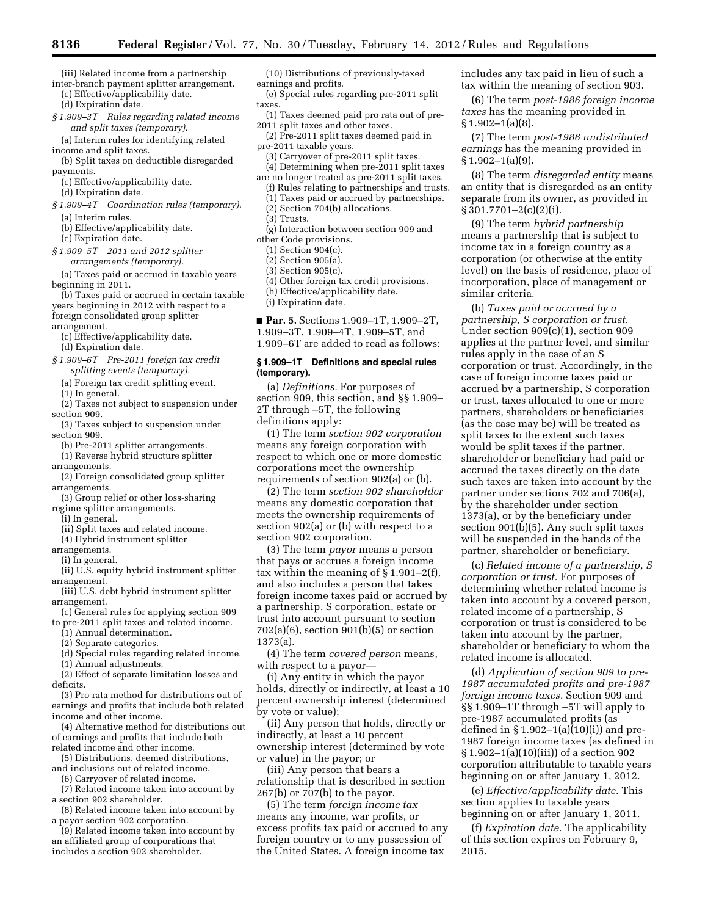(iii) Related income from a partnership inter-branch payment splitter arrangement.

(c) Effective/applicability date. (d) Expiration date.

*§ 1.909–3T Rules regarding related income and split taxes (temporary).* 

(a) Interim rules for identifying related income and split taxes.

- (b) Split taxes on deductible disregarded payments.
- (c) Effective/applicability date. (d) Expiration date.
- *§ 1.909–4T Coordination rules (temporary).*  (a) Interim rules.
	- (b) Effective/applicability date.
	- (c) Expiration date.
- *§ 1.909–5T 2011 and 2012 splitter arrangements (temporary).*

(a) Taxes paid or accrued in taxable years beginning in 2011.

(b) Taxes paid or accrued in certain taxable years beginning in 2012 with respect to a foreign consolidated group splitter

arrangement.

- (c) Effective/applicability date. (d) Expiration date.
- 
- *§ 1.909–6T Pre-2011 foreign tax credit splitting events (temporary).*

(a) Foreign tax credit splitting event.

- (1) In general.
- (2) Taxes not subject to suspension under section 909.
- (3) Taxes subject to suspension under section 909.

(b) Pre-2011 splitter arrangements.

(1) Reverse hybrid structure splitter arrangements.

(2) Foreign consolidated group splitter arrangements.

(3) Group relief or other loss-sharing regime splitter arrangements.

(i) In general.

(ii) Split taxes and related income.

(4) Hybrid instrument splitter

arrangements.

(i) In general.

- (ii) U.S. equity hybrid instrument splitter arrangement.
- (iii) U.S. debt hybrid instrument splitter arrangement.
- (c) General rules for applying section 909 to pre-2011 split taxes and related income.
	- (1) Annual determination.

(2) Separate categories.

- (d) Special rules regarding related income.
- (1) Annual adjustments.

(2) Effect of separate limitation losses and deficits.

(3) Pro rata method for distributions out of earnings and profits that include both related income and other income.

(4) Alternative method for distributions out of earnings and profits that include both related income and other income.

- (5) Distributions, deemed distributions, and inclusions out of related income.
	- (6) Carryover of related income.

(7) Related income taken into account by a section 902 shareholder.

(8) Related income taken into account by a payor section 902 corporation.

(9) Related income taken into account by an affiliated group of corporations that includes a section 902 shareholder.

(10) Distributions of previously-taxed earnings and profits.

- (e) Special rules regarding pre-2011 split taxes.
- (1) Taxes deemed paid pro rata out of pre-2011 split taxes and other taxes.
- (2) Pre-2011 split taxes deemed paid in pre-2011 taxable years.
- (3) Carryover of pre-2011 split taxes.
- (4) Determining when pre-2011 split taxes are no longer treated as pre-2011 split taxes.
- (f) Rules relating to partnerships and trusts.
- (1) Taxes paid or accrued by partnerships.
- (2) Section 704(b) allocations.
- (3) Trusts.
- (g) Interaction between section 909 and other Code provisions.
	- (1) Section 904(c).
	- (2) Section 905(a).
	- (3) Section 905(c).
	- (4) Other foreign tax credit provisions.
	- (h) Effective/applicability date.

(i) Expiration date.

■ **Par. 5.** Sections 1.909–1T, 1.909–2T, 1.909–3T, 1.909–4T, 1.909–5T, and 1.909–6T are added to read as follows:

### **§ 1.909–1T Definitions and special rules (temporary).**

(a) *Definitions.* For purposes of section 909, this section, and §§ 1.909– 2T through –5T, the following definitions apply:

(1) The term *section 902 corporation*  means any foreign corporation with respect to which one or more domestic corporations meet the ownership requirements of section 902(a) or (b).

(2) The term *section 902 shareholder*  means any domestic corporation that meets the ownership requirements of section 902(a) or (b) with respect to a section 902 corporation.

(3) The term *payor* means a person that pays or accrues a foreign income tax within the meaning of § 1.901–2(f), and also includes a person that takes foreign income taxes paid or accrued by a partnership, S corporation, estate or trust into account pursuant to section 702(a)(6), section 901(b)(5) or section 1373(a).

(4) The term *covered person* means, with respect to a payor—

(i) Any entity in which the payor holds, directly or indirectly, at least a 10 percent ownership interest (determined by vote or value);

(ii) Any person that holds, directly or indirectly, at least a 10 percent ownership interest (determined by vote or value) in the payor; or

(iii) Any person that bears a relationship that is described in section 267(b) or 707(b) to the payor.

(5) The term *foreign income tax*  means any income, war profits, or excess profits tax paid or accrued to any foreign country or to any possession of the United States. A foreign income tax

includes any tax paid in lieu of such a tax within the meaning of section 903.

(6) The term *post-1986 foreign income taxes* has the meaning provided in  $§ 1.902-1(a)(8).$ 

(7) The term *post-1986 undistributed earnings* has the meaning provided in  $§ 1.902-1(a)(9).$ 

(8) The term *disregarded entity* means an entity that is disregarded as an entity separate from its owner, as provided in § 301.7701–2(c)(2)(i).

(9) The term *hybrid partnership*  means a partnership that is subject to income tax in a foreign country as a corporation (or otherwise at the entity level) on the basis of residence, place of incorporation, place of management or similar criteria.

(b) *Taxes paid or accrued by a partnership, S corporation or trust.*  Under section 909(c)(1), section 909 applies at the partner level, and similar rules apply in the case of an S corporation or trust. Accordingly, in the case of foreign income taxes paid or accrued by a partnership, S corporation or trust, taxes allocated to one or more partners, shareholders or beneficiaries (as the case may be) will be treated as split taxes to the extent such taxes would be split taxes if the partner, shareholder or beneficiary had paid or accrued the taxes directly on the date such taxes are taken into account by the partner under sections 702 and 706(a), by the shareholder under section 1373(a), or by the beneficiary under section 901(b)(5). Any such split taxes will be suspended in the hands of the partner, shareholder or beneficiary.

(c) *Related income of a partnership, S corporation or trust.* For purposes of determining whether related income is taken into account by a covered person, related income of a partnership, S corporation or trust is considered to be taken into account by the partner, shareholder or beneficiary to whom the related income is allocated.

(d) *Application of section 909 to pre-1987 accumulated profits and pre-1987 foreign income taxes.* Section 909 and §§ 1.909–1T through –5T will apply to pre-1987 accumulated profits (as defined in  $\S 1.902-1(a)(10)(i)$  and pre-1987 foreign income taxes (as defined in § 1.902–1(a)(10)(iii)) of a section 902 corporation attributable to taxable years beginning on or after January 1, 2012.

(e) *Effective/applicability date.* This section applies to taxable years beginning on or after January 1, 2011.

(f) *Expiration date.* The applicability of this section expires on February 9, 2015.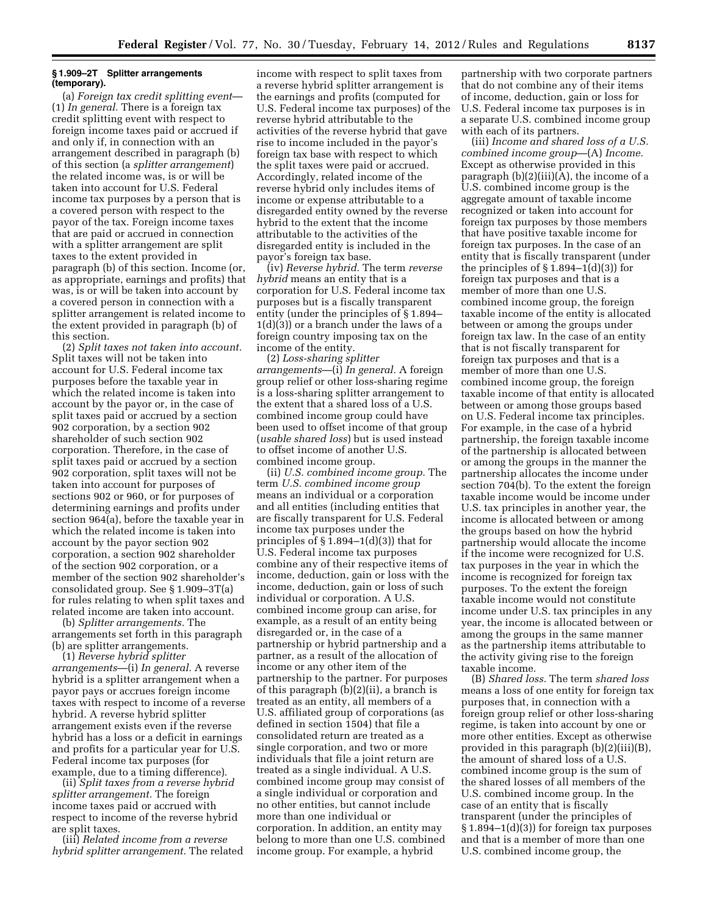### **§ 1.909–2T Splitter arrangements (temporary).**

(a) *Foreign tax credit splitting event*— (1) *In general.* There is a foreign tax credit splitting event with respect to foreign income taxes paid or accrued if and only if, in connection with an arrangement described in paragraph (b) of this section (a *splitter arrangement*) the related income was, is or will be taken into account for U.S. Federal income tax purposes by a person that is a covered person with respect to the payor of the tax. Foreign income taxes that are paid or accrued in connection with a splitter arrangement are split taxes to the extent provided in paragraph (b) of this section. Income (or, as appropriate, earnings and profits) that was, is or will be taken into account by a covered person in connection with a splitter arrangement is related income to the extent provided in paragraph (b) of this section.

(2) *Split taxes not taken into account.*  Split taxes will not be taken into account for U.S. Federal income tax purposes before the taxable year in which the related income is taken into account by the payor or, in the case of split taxes paid or accrued by a section 902 corporation, by a section 902 shareholder of such section 902 corporation. Therefore, in the case of split taxes paid or accrued by a section 902 corporation, split taxes will not be taken into account for purposes of sections 902 or 960, or for purposes of determining earnings and profits under section 964(a), before the taxable year in which the related income is taken into account by the payor section 902 corporation, a section 902 shareholder of the section 902 corporation, or a member of the section 902 shareholder's consolidated group. See § 1.909–3T(a) for rules relating to when split taxes and related income are taken into account.

(b) *Splitter arrangements.* The arrangements set forth in this paragraph (b) are splitter arrangements.

(1) *Reverse hybrid splitter arrangements*—(i) *In general.* A reverse hybrid is a splitter arrangement when a payor pays or accrues foreign income taxes with respect to income of a reverse hybrid. A reverse hybrid splitter arrangement exists even if the reverse hybrid has a loss or a deficit in earnings and profits for a particular year for U.S. Federal income tax purposes (for example, due to a timing difference).

(ii) *Split taxes from a reverse hybrid splitter arrangement.* The foreign income taxes paid or accrued with respect to income of the reverse hybrid are split taxes.

(iii) *Related income from a reverse hybrid splitter arrangement.* The related

income with respect to split taxes from a reverse hybrid splitter arrangement is the earnings and profits (computed for U.S. Federal income tax purposes) of the reverse hybrid attributable to the activities of the reverse hybrid that gave rise to income included in the payor's foreign tax base with respect to which the split taxes were paid or accrued. Accordingly, related income of the reverse hybrid only includes items of income or expense attributable to a disregarded entity owned by the reverse hybrid to the extent that the income attributable to the activities of the disregarded entity is included in the payor's foreign tax base.

(iv) *Reverse hybrid.* The term *reverse hybrid* means an entity that is a corporation for U.S. Federal income tax purposes but is a fiscally transparent entity (under the principles of § 1.894– 1(d)(3)) or a branch under the laws of a foreign country imposing tax on the income of the entity.

(2) *Loss-sharing splitter arrangements*—(i) *In general.* A foreign group relief or other loss-sharing regime is a loss-sharing splitter arrangement to the extent that a shared loss of a U.S. combined income group could have been used to offset income of that group (*usable shared loss*) but is used instead to offset income of another U.S. combined income group.

(ii) *U.S. combined income group.* The term *U.S. combined income group*  means an individual or a corporation and all entities (including entities that are fiscally transparent for U.S. Federal income tax purposes under the principles of  $\S 1.894-1(d)(3)$  that for U.S. Federal income tax purposes combine any of their respective items of income, deduction, gain or loss with the income, deduction, gain or loss of such individual or corporation. A U.S. combined income group can arise, for example, as a result of an entity being disregarded or, in the case of a partnership or hybrid partnership and a partner, as a result of the allocation of income or any other item of the partnership to the partner. For purposes of this paragraph (b)(2)(ii), a branch is treated as an entity, all members of a U.S. affiliated group of corporations (as defined in section 1504) that file a consolidated return are treated as a single corporation, and two or more individuals that file a joint return are treated as a single individual. A U.S. combined income group may consist of a single individual or corporation and no other entities, but cannot include more than one individual or corporation. In addition, an entity may belong to more than one U.S. combined income group. For example, a hybrid

partnership with two corporate partners that do not combine any of their items of income, deduction, gain or loss for U.S. Federal income tax purposes is in a separate U.S. combined income group with each of its partners.

(iii) *Income and shared loss of a U.S. combined income group*—(A) *Income.*  Except as otherwise provided in this paragraph (b)(2)(iii)(A), the income of a U.S. combined income group is the aggregate amount of taxable income recognized or taken into account for foreign tax purposes by those members that have positive taxable income for foreign tax purposes. In the case of an entity that is fiscally transparent (under the principles of  $\S 1.894-1(d)(3)$  for foreign tax purposes and that is a member of more than one U.S. combined income group, the foreign taxable income of the entity is allocated between or among the groups under foreign tax law. In the case of an entity that is not fiscally transparent for foreign tax purposes and that is a member of more than one U.S. combined income group, the foreign taxable income of that entity is allocated between or among those groups based on U.S. Federal income tax principles. For example, in the case of a hybrid partnership, the foreign taxable income of the partnership is allocated between or among the groups in the manner the partnership allocates the income under section 704(b). To the extent the foreign taxable income would be income under U.S. tax principles in another year, the income is allocated between or among the groups based on how the hybrid partnership would allocate the income if the income were recognized for U.S. tax purposes in the year in which the income is recognized for foreign tax purposes. To the extent the foreign taxable income would not constitute income under U.S. tax principles in any year, the income is allocated between or among the groups in the same manner as the partnership items attributable to the activity giving rise to the foreign taxable income.

(B) *Shared loss.* The term *shared loss*  means a loss of one entity for foreign tax purposes that, in connection with a foreign group relief or other loss-sharing regime, is taken into account by one or more other entities. Except as otherwise provided in this paragraph (b)(2)(iii)(B), the amount of shared loss of a U.S. combined income group is the sum of the shared losses of all members of the U.S. combined income group. In the case of an entity that is fiscally transparent (under the principles of § 1.894–1(d)(3)) for foreign tax purposes and that is a member of more than one U.S. combined income group, the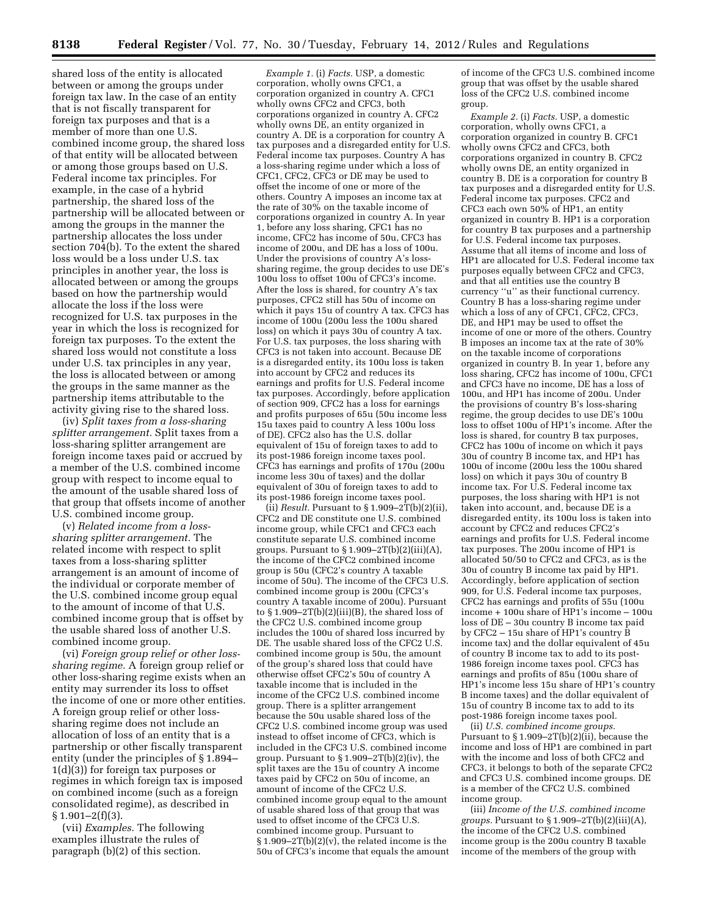shared loss of the entity is allocated between or among the groups under foreign tax law. In the case of an entity that is not fiscally transparent for foreign tax purposes and that is a member of more than one U.S. combined income group, the shared loss of that entity will be allocated between or among those groups based on U.S. Federal income tax principles. For example, in the case of a hybrid partnership, the shared loss of the partnership will be allocated between or among the groups in the manner the partnership allocates the loss under section 704(b). To the extent the shared loss would be a loss under U.S. tax principles in another year, the loss is allocated between or among the groups based on how the partnership would allocate the loss if the loss were recognized for U.S. tax purposes in the year in which the loss is recognized for foreign tax purposes. To the extent the shared loss would not constitute a loss under U.S. tax principles in any year, the loss is allocated between or among the groups in the same manner as the partnership items attributable to the activity giving rise to the shared loss.

(iv) *Split taxes from a loss-sharing splitter arrangement.* Split taxes from a loss-sharing splitter arrangement are foreign income taxes paid or accrued by a member of the U.S. combined income group with respect to income equal to the amount of the usable shared loss of that group that offsets income of another U.S. combined income group.

(v) *Related income from a losssharing splitter arrangement.* The related income with respect to split taxes from a loss-sharing splitter arrangement is an amount of income of the individual or corporate member of the U.S. combined income group equal to the amount of income of that U.S. combined income group that is offset by the usable shared loss of another U.S. combined income group.

(vi) *Foreign group relief or other losssharing regime.* A foreign group relief or other loss-sharing regime exists when an entity may surrender its loss to offset the income of one or more other entities. A foreign group relief or other losssharing regime does not include an allocation of loss of an entity that is a partnership or other fiscally transparent entity (under the principles of § 1.894– 1(d)(3)) for foreign tax purposes or regimes in which foreign tax is imposed on combined income (such as a foreign consolidated regime), as described in  $§ 1.901 - 2(f)(3).$ 

(vii) *Examples.* The following examples illustrate the rules of paragraph (b)(2) of this section.

*Example 1.* (i) *Facts.* USP, a domestic corporation, wholly owns CFC1, a corporation organized in country A. CFC1 wholly owns CFC2 and CFC3, both corporations organized in country A. CFC2 wholly owns DE, an entity organized in country A. DE is a corporation for country A tax purposes and a disregarded entity for U.S. Federal income tax purposes. Country A has a loss-sharing regime under which a loss of CFC1, CFC2, CFC3 or DE may be used to offset the income of one or more of the others. Country A imposes an income tax at the rate of 30% on the taxable income of corporations organized in country A. In year 1, before any loss sharing, CFC1 has no income, CFC2 has income of 50u, CFC3 has income of 200u, and DE has a loss of 100u. Under the provisions of country A's losssharing regime, the group decides to use DE's 100u loss to offset 100u of CFC3's income. After the loss is shared, for country A's tax purposes, CFC2 still has 50u of income on which it pays 15u of country A tax. CFC3 has income of 100u (200u less the 100u shared loss) on which it pays 30u of country A tax. For U.S. tax purposes, the loss sharing with CFC3 is not taken into account. Because DE is a disregarded entity, its 100u loss is taken into account by CFC2 and reduces its earnings and profits for U.S. Federal income tax purposes. Accordingly, before application of section 909, CFC2 has a loss for earnings and profits purposes of 65u (50u income less 15u taxes paid to country A less 100u loss of DE). CFC2 also has the U.S. dollar equivalent of 15u of foreign taxes to add to its post-1986 foreign income taxes pool. CFC3 has earnings and profits of 170u (200u income less 30u of taxes) and the dollar equivalent of 30u of foreign taxes to add to its post-1986 foreign income taxes pool.

(ii) *Result.* Pursuant to  $\S 1.909 - 2\overline{T(b)}(2)$  (ii), CFC2 and DE constitute one U.S. combined income group, while CFC1 and CFC3 each constitute separate U.S. combined income groups. Pursuant to  $\S 1.909 - 2T(b)(2)(iii)(A)$ , the income of the CFC2 combined income group is 50u (CFC2's country A taxable income of 50u). The income of the CFC3 U.S. combined income group is 200u (CFC3's country A taxable income of 200u). Pursuant to  $\S 1.909-2T(b)(2)(iii)(B)$ , the shared loss of the CFC2 U.S. combined income group includes the 100u of shared loss incurred by DE. The usable shared loss of the CFC2 U.S. combined income group is 50u, the amount of the group's shared loss that could have otherwise offset CFC2's 50u of country A taxable income that is included in the income of the CFC2 U.S. combined income group. There is a splitter arrangement because the 50u usable shared loss of the CFC2 U.S. combined income group was used instead to offset income of CFC3, which is included in the CFC3 U.S. combined income group. Pursuant to § 1.909–2T(b)(2)(iv), the split taxes are the 15u of country A income taxes paid by CFC2 on 50u of income, an amount of income of the CFC2 U.S. combined income group equal to the amount of usable shared loss of that group that was used to offset income of the CFC3 U.S. combined income group. Pursuant to § 1.909–2T(b)(2)(v), the related income is the 50u of CFC3's income that equals the amount

of income of the CFC3 U.S. combined income group that was offset by the usable shared loss of the CFC2 U.S. combined income group.

*Example 2.* (i) *Facts.* USP, a domestic corporation, wholly owns CFC1, a corporation organized in country B. CFC1 wholly owns CFC2 and CFC3, both corporations organized in country B. CFC2 wholly owns DE, an entity organized in country B. DE is a corporation for country B tax purposes and a disregarded entity for U.S. Federal income tax purposes. CFC2 and CFC3 each own 50% of HP1, an entity organized in country B. HP1 is a corporation for country B tax purposes and a partnership for U.S. Federal income tax purposes. Assume that all items of income and loss of HP1 are allocated for U.S. Federal income tax purposes equally between CFC2 and CFC3, and that all entities use the country B currency ''u'' as their functional currency. Country B has a loss-sharing regime under which a loss of any of CFC1, CFC2, CFC3, DE, and HP1 may be used to offset the income of one or more of the others. Country B imposes an income tax at the rate of 30% on the taxable income of corporations organized in country B. In year 1, before any loss sharing, CFC2 has income of 100u, CFC1 and CFC3 have no income, DE has a loss of 100u, and HP1 has income of 200u. Under the provisions of country B's loss-sharing regime, the group decides to use DE's 100u loss to offset 100u of HP1's income. After the loss is shared, for country B tax purposes, CFC2 has 100u of income on which it pays 30u of country B income tax, and HP1 has 100u of income (200u less the 100u shared loss) on which it pays 30u of country B income tax. For U.S. Federal income tax purposes, the loss sharing with HP1 is not taken into account, and, because DE is a disregarded entity, its 100u loss is taken into account by CFC2 and reduces CFC2's earnings and profits for U.S. Federal income tax purposes. The 200u income of HP1 is allocated 50/50 to CFC2 and CFC3, as is the 30u of country B income tax paid by HP1. Accordingly, before application of section 909, for U.S. Federal income tax purposes, CFC2 has earnings and profits of 55u (100u income + 100u share of HP1's income – 100u loss of DE – 30u country B income tax paid by CFC2 – 15u share of HP1's country B income tax) and the dollar equivalent of 45u of country B income tax to add to its post-1986 foreign income taxes pool. CFC3 has earnings and profits of 85u (100u share of HP1's income less 15u share of HP1's country B income taxes) and the dollar equivalent of 15u of country B income tax to add to its post-1986 foreign income taxes pool.

(ii) *U.S. combined income groups.*  Pursuant to § 1.909–2T(b)(2)(ii), because the income and loss of HP1 are combined in part with the income and loss of both CFC2 and CFC3, it belongs to both of the separate CFC2 and CFC3 U.S. combined income groups. DE is a member of the CFC2 U.S. combined income group.

(iii) *Income of the U.S. combined income groups.* Pursuant to § 1.909–2T(b)(2)(iii)(A), the income of the CFC2 U.S. combined income group is the 200u country B taxable income of the members of the group with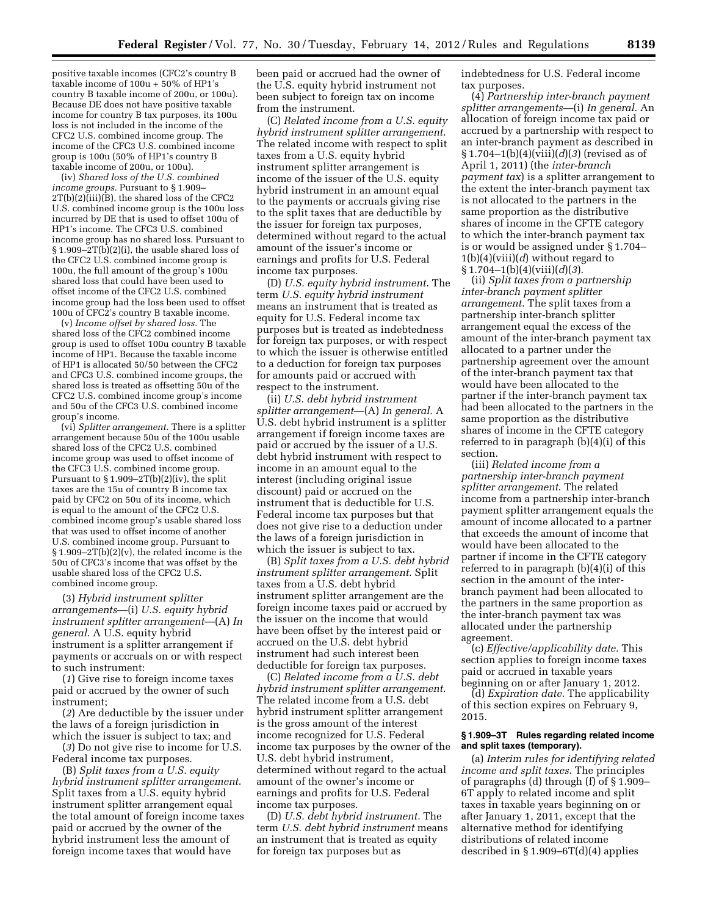positive taxable incomes (CFC2's country B taxable income of 100u + 50% of HP1's country B taxable income of 200u, or 100u). Because DE does not have positive taxable income for country B tax purposes, its 100u loss is not included in the income of the CFC2 U.S. combined income group. The income of the CFC3 U.S. combined income group is 100u (50% of HP1's country B taxable income of 200u, or 100u).

(iv) *Shared loss of the U.S. combined income groups.* Pursuant to § 1.909–  $2T(b)(2)$ (iii)(B), the shared loss of the CFC2 U.S. combined income group is the 100u loss incurred by DE that is used to offset 100u of HP1's income. The CFC3 U.S. combined income group has no shared loss. Pursuant to § 1.909–2T(b)(2)(i), the usable shared loss of the CFC2 U.S. combined income group is 100u, the full amount of the group's 100u shared loss that could have been used to offset income of the CFC2 U.S. combined income group had the loss been used to offset 100u of CFC2's country B taxable income.

(v) *Income offset by shared loss.* The shared loss of the CFC2 combined income group is used to offset 100u country B taxable income of HP1. Because the taxable income of HP1 is allocated 50/50 between the CFC2 and CFC3 U.S. combined income groups, the shared loss is treated as offsetting 50u of the CFC2 U.S. combined income group's income and 50u of the CFC3 U.S. combined income group's income.

(vi) *Splitter arrangement.* There is a splitter arrangement because 50u of the 100u usable shared loss of the CFC2 U.S. combined income group was used to offset income of the CFC3 U.S. combined income group. Pursuant to  $\S 1.909 - 2T(b)(2)(iv)$ , the split taxes are the 15u of country B income tax paid by CFC2 on 50u of its income, which is equal to the amount of the CFC2 U.S. combined income group's usable shared loss that was used to offset income of another U.S. combined income group. Pursuant to § 1.909–2T(b)(2)(v), the related income is the 50u of CFC3's income that was offset by the usable shared loss of the CFC2 U.S. combined income group.

(3) *Hybrid instrument splitter arrangements*—(i) *U.S. equity hybrid instrument splitter arrangement*—(A) *In general*. A U.S. equity hybrid instrument is a splitter arrangement if payments or accruals on or with respect to such instrument:

(*1*) Give rise to foreign income taxes paid or accrued by the owner of such instrument;

(*2*) Are deductible by the issuer under the laws of a foreign jurisdiction in which the issuer is subject to tax; and

(*3*) Do not give rise to income for U.S. Federal income tax purposes.

(B) *Split taxes from a U.S. equity hybrid instrument splitter arrangement*. Split taxes from a U.S. equity hybrid instrument splitter arrangement equal the total amount of foreign income taxes paid or accrued by the owner of the hybrid instrument less the amount of foreign income taxes that would have

been paid or accrued had the owner of the U.S. equity hybrid instrument not been subject to foreign tax on income from the instrument.

(C) *Related income from a U.S. equity hybrid instrument splitter arrangement*. The related income with respect to split taxes from a U.S. equity hybrid instrument splitter arrangement is income of the issuer of the U.S. equity hybrid instrument in an amount equal to the payments or accruals giving rise to the split taxes that are deductible by the issuer for foreign tax purposes, determined without regard to the actual amount of the issuer's income or earnings and profits for U.S. Federal income tax purposes.

(D) *U.S. equity hybrid instrument*. The term *U.S. equity hybrid instrument*  means an instrument that is treated as equity for U.S. Federal income tax purposes but is treated as indebtedness for foreign tax purposes, or with respect to which the issuer is otherwise entitled to a deduction for foreign tax purposes for amounts paid or accrued with respect to the instrument.

(ii) *U.S. debt hybrid instrument splitter arrangement*—(A) *In general*. A U.S. debt hybrid instrument is a splitter arrangement if foreign income taxes are paid or accrued by the issuer of a U.S. debt hybrid instrument with respect to income in an amount equal to the interest (including original issue discount) paid or accrued on the instrument that is deductible for U.S. Federal income tax purposes but that does not give rise to a deduction under the laws of a foreign jurisdiction in which the issuer is subject to tax.

(B) *Split taxes from a U.S. debt hybrid instrument splitter arrangement*. Split taxes from a U.S. debt hybrid instrument splitter arrangement are the foreign income taxes paid or accrued by the issuer on the income that would have been offset by the interest paid or accrued on the U.S. debt hybrid instrument had such interest been deductible for foreign tax purposes.

(C) *Related income from a U.S. debt hybrid instrument splitter arrangement*. The related income from a U.S. debt hybrid instrument splitter arrangement is the gross amount of the interest income recognized for U.S. Federal income tax purposes by the owner of the U.S. debt hybrid instrument, determined without regard to the actual amount of the owner's income or earnings and profits for U.S. Federal income tax purposes.

(D) *U.S. debt hybrid instrument.* The term *U.S. debt hybrid instrument* means an instrument that is treated as equity for foreign tax purposes but as

indebtedness for U.S. Federal income tax purposes.

(4) *Partnership inter-branch payment splitter arrangements*—(i) *In general*. An allocation of foreign income tax paid or accrued by a partnership with respect to an inter-branch payment as described in § 1.704–1(b)(4)(viii)(*d*)(*3*) (revised as of April 1, 2011) (the *inter-branch payment tax*) is a splitter arrangement to the extent the inter-branch payment tax is not allocated to the partners in the same proportion as the distributive shares of income in the CFTE category to which the inter-branch payment tax is or would be assigned under § 1.704– 1(b)(4)(viii)(*d*) without regard to § 1.704–1(b)(4)(viii)(*d*)(*3*).

(ii) *Split taxes from a partnership inter-branch payment splitter arrangement*. The split taxes from a partnership inter-branch splitter arrangement equal the excess of the amount of the inter-branch payment tax allocated to a partner under the partnership agreement over the amount of the inter-branch payment tax that would have been allocated to the partner if the inter-branch payment tax had been allocated to the partners in the same proportion as the distributive shares of income in the CFTE category referred to in paragraph (b)(4)(i) of this section.

(iii) *Related income from a partnership inter-branch payment splitter arrangement*. The related income from a partnership inter-branch payment splitter arrangement equals the amount of income allocated to a partner that exceeds the amount of income that would have been allocated to the partner if income in the CFTE category referred to in paragraph (b)(4)(i) of this section in the amount of the interbranch payment had been allocated to the partners in the same proportion as the inter-branch payment tax was allocated under the partnership agreement.

(c) *Effective/applicability date.* This section applies to foreign income taxes paid or accrued in taxable years beginning on or after January 1, 2012.

(d) *Expiration date.* The applicability of this section expires on February 9, 2015.

### **§ 1.909–3T Rules regarding related income and split taxes (temporary).**

(a) *Interim rules for identifying related income and split taxes*. The principles of paragraphs (d) through (f) of § 1.909– 6T apply to related income and split taxes in taxable years beginning on or after January 1, 2011, except that the alternative method for identifying distributions of related income described in  $\S 1.909 - 6T(d)(4)$  applies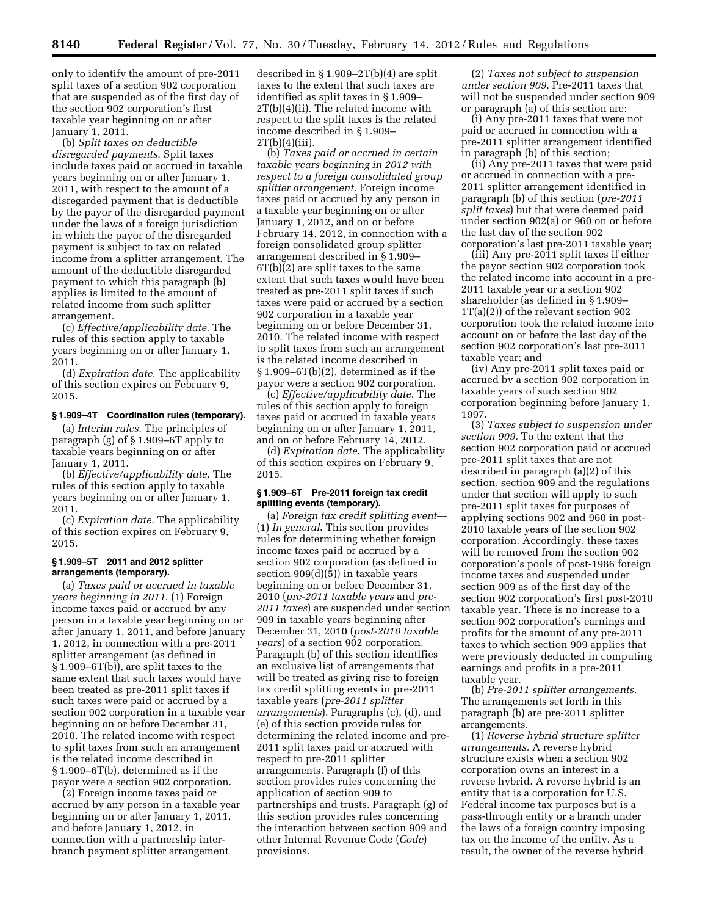only to identify the amount of pre-2011 split taxes of a section 902 corporation that are suspended as of the first day of the section 902 corporation's first taxable year beginning on or after January 1, 2011.

(b) *Split taxes on deductible disregarded payments*. Split taxes include taxes paid or accrued in taxable years beginning on or after January 1, 2011, with respect to the amount of a disregarded payment that is deductible by the payor of the disregarded payment under the laws of a foreign jurisdiction in which the payor of the disregarded payment is subject to tax on related income from a splitter arrangement. The amount of the deductible disregarded payment to which this paragraph (b) applies is limited to the amount of related income from such splitter arrangement.

(c) *Effective/applicability date*. The rules of this section apply to taxable years beginning on or after January 1, 2011.

(d) *Expiration date*. The applicability of this section expires on February 9, 2015.

### **§ 1.909–4T Coordination rules (temporary).**

(a) *Interim rules*. The principles of paragraph (g) of § 1.909–6T apply to taxable years beginning on or after January 1, 2011.

(b) *Effective/applicability date*. The rules of this section apply to taxable years beginning on or after January 1, 2011.

(c) *Expiration date*. The applicability of this section expires on February 9, 2015.

## **§ 1.909–5T 2011 and 2012 splitter arrangements (temporary).**

(a) *Taxes paid or accrued in taxable years beginning in 2011*. (1) Foreign income taxes paid or accrued by any person in a taxable year beginning on or after January 1, 2011, and before January 1, 2012, in connection with a pre-2011 splitter arrangement (as defined in § 1.909–6T(b)), are split taxes to the same extent that such taxes would have been treated as pre-2011 split taxes if such taxes were paid or accrued by a section 902 corporation in a taxable year beginning on or before December 31, 2010. The related income with respect to split taxes from such an arrangement is the related income described in § 1.909–6T(b), determined as if the payor were a section 902 corporation.

(2) Foreign income taxes paid or accrued by any person in a taxable year beginning on or after January 1, 2011, and before January 1, 2012, in connection with a partnership interbranch payment splitter arrangement

described in § 1.909–2T(b)(4) are split taxes to the extent that such taxes are identified as split taxes in § 1.909– 2T(b)(4)(ii). The related income with respect to the split taxes is the related income described in § 1.909–  $2T(b)(4)(iii)$ .

(b) *Taxes paid or accrued in certain taxable years beginning in 2012 with respect to a foreign consolidated group splitter arrangement*. Foreign income taxes paid or accrued by any person in a taxable year beginning on or after January 1, 2012, and on or before February 14, 2012, in connection with a foreign consolidated group splitter arrangement described in § 1.909– 6T(b)(2) are split taxes to the same extent that such taxes would have been treated as pre-2011 split taxes if such taxes were paid or accrued by a section 902 corporation in a taxable year beginning on or before December 31, 2010. The related income with respect to split taxes from such an arrangement is the related income described in § 1.909–6T(b)(2), determined as if the payor were a section 902 corporation.

(c) *Effective/applicability date*. The rules of this section apply to foreign taxes paid or accrued in taxable years beginning on or after January 1, 2011, and on or before February 14, 2012.

(d) *Expiration date*. The applicability of this section expires on February 9, 2015.

# **§ 1.909–6T Pre-2011 foreign tax credit splitting events (temporary).**

(a) *Foreign tax credit splitting event*— (1) *In general*. This section provides rules for determining whether foreign income taxes paid or accrued by a section 902 corporation (as defined in section 909(d)(5)) in taxable years beginning on or before December 31, 2010 (*pre-2011 taxable years* and *pre-2011 taxes*) are suspended under section 909 in taxable years beginning after December 31, 2010 (*post-2010 taxable years*) of a section 902 corporation. Paragraph (b) of this section identifies an exclusive list of arrangements that will be treated as giving rise to foreign tax credit splitting events in pre-2011 taxable years (*pre-2011 splitter arrangements*). Paragraphs (c), (d), and (e) of this section provide rules for determining the related income and pre-2011 split taxes paid or accrued with respect to pre-2011 splitter arrangements. Paragraph (f) of this section provides rules concerning the application of section 909 to partnerships and trusts. Paragraph (g) of this section provides rules concerning the interaction between section 909 and other Internal Revenue Code (*Code*) provisions.

(2) *Taxes not subject to suspension under section 909*. Pre-2011 taxes that will not be suspended under section 909 or paragraph (a) of this section are:

(i) Any pre-2011 taxes that were not paid or accrued in connection with a pre-2011 splitter arrangement identified in paragraph (b) of this section;

(ii) Any pre-2011 taxes that were paid or accrued in connection with a pre-2011 splitter arrangement identified in paragraph (b) of this section (*pre-2011 split taxes*) but that were deemed paid under section 902(a) or 960 on or before the last day of the section 902 corporation's last pre-2011 taxable year;

(iii) Any pre-2011 split taxes if either the payor section 902 corporation took the related income into account in a pre-2011 taxable year or a section 902 shareholder (as defined in § 1.909– 1T(a)(2)) of the relevant section 902 corporation took the related income into account on or before the last day of the section 902 corporation's last pre-2011 taxable year; and

(iv) Any pre-2011 split taxes paid or accrued by a section 902 corporation in taxable years of such section 902 corporation beginning before January 1, 1997.

(3) *Taxes subject to suspension under section 909.* To the extent that the section 902 corporation paid or accrued pre-2011 split taxes that are not described in paragraph (a)(2) of this section, section 909 and the regulations under that section will apply to such pre-2011 split taxes for purposes of applying sections 902 and 960 in post-2010 taxable years of the section 902 corporation. Accordingly, these taxes will be removed from the section 902 corporation's pools of post-1986 foreign income taxes and suspended under section 909 as of the first day of the section 902 corporation's first post-2010 taxable year. There is no increase to a section 902 corporation's earnings and profits for the amount of any pre-2011 taxes to which section 909 applies that were previously deducted in computing earnings and profits in a pre-2011 taxable year.

(b) *Pre-2011 splitter arrangements.*  The arrangements set forth in this paragraph (b) are pre-2011 splitter arrangements.

(1) *Reverse hybrid structure splitter arrangements.* A reverse hybrid structure exists when a section 902 corporation owns an interest in a reverse hybrid. A reverse hybrid is an entity that is a corporation for U.S. Federal income tax purposes but is a pass-through entity or a branch under the laws of a foreign country imposing tax on the income of the entity. As a result, the owner of the reverse hybrid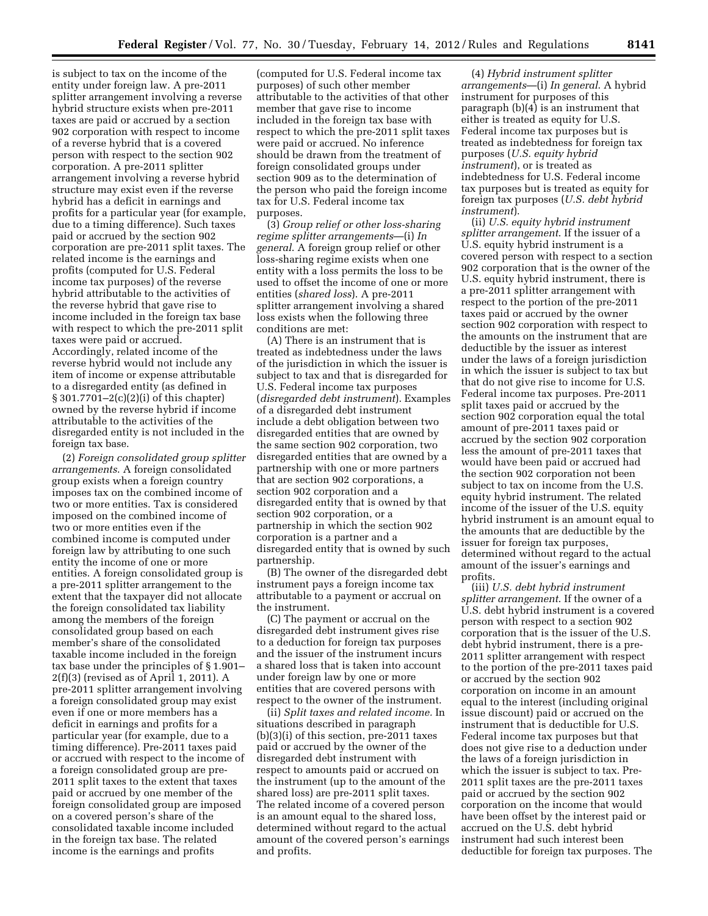is subject to tax on the income of the entity under foreign law. A pre-2011 splitter arrangement involving a reverse hybrid structure exists when pre-2011 taxes are paid or accrued by a section 902 corporation with respect to income of a reverse hybrid that is a covered person with respect to the section 902 corporation. A pre-2011 splitter arrangement involving a reverse hybrid structure may exist even if the reverse hybrid has a deficit in earnings and profits for a particular year (for example, due to a timing difference). Such taxes paid or accrued by the section 902 corporation are pre-2011 split taxes. The related income is the earnings and profits (computed for U.S. Federal income tax purposes) of the reverse hybrid attributable to the activities of the reverse hybrid that gave rise to income included in the foreign tax base with respect to which the pre-2011 split taxes were paid or accrued. Accordingly, related income of the reverse hybrid would not include any item of income or expense attributable to a disregarded entity (as defined in § 301.7701–2(c)(2)(i) of this chapter) owned by the reverse hybrid if income attributable to the activities of the disregarded entity is not included in the foreign tax base.

(2) *Foreign consolidated group splitter arrangements*. A foreign consolidated group exists when a foreign country imposes tax on the combined income of two or more entities. Tax is considered imposed on the combined income of two or more entities even if the combined income is computed under foreign law by attributing to one such entity the income of one or more entities. A foreign consolidated group is a pre-2011 splitter arrangement to the extent that the taxpayer did not allocate the foreign consolidated tax liability among the members of the foreign consolidated group based on each member's share of the consolidated taxable income included in the foreign tax base under the principles of § 1.901– 2(f)(3) (revised as of April 1, 2011). A pre-2011 splitter arrangement involving a foreign consolidated group may exist even if one or more members has a deficit in earnings and profits for a particular year (for example, due to a timing difference). Pre-2011 taxes paid or accrued with respect to the income of a foreign consolidated group are pre-2011 split taxes to the extent that taxes paid or accrued by one member of the foreign consolidated group are imposed on a covered person's share of the consolidated taxable income included in the foreign tax base. The related income is the earnings and profits

(computed for U.S. Federal income tax purposes) of such other member attributable to the activities of that other member that gave rise to income included in the foreign tax base with respect to which the pre-2011 split taxes were paid or accrued. No inference should be drawn from the treatment of foreign consolidated groups under section 909 as to the determination of the person who paid the foreign income tax for U.S. Federal income tax purposes.

(3) *Group relief or other loss-sharing regime splitter arrangements*—(i) *In general*. A foreign group relief or other loss-sharing regime exists when one entity with a loss permits the loss to be used to offset the income of one or more entities (*shared loss*). A pre-2011 splitter arrangement involving a shared loss exists when the following three conditions are met:

(A) There is an instrument that is treated as indebtedness under the laws of the jurisdiction in which the issuer is subject to tax and that is disregarded for U.S. Federal income tax purposes (*disregarded debt instrument*). Examples of a disregarded debt instrument include a debt obligation between two disregarded entities that are owned by the same section 902 corporation, two disregarded entities that are owned by a partnership with one or more partners that are section 902 corporations, a section 902 corporation and a disregarded entity that is owned by that section 902 corporation, or a partnership in which the section 902 corporation is a partner and a disregarded entity that is owned by such partnership.

(B) The owner of the disregarded debt instrument pays a foreign income tax attributable to a payment or accrual on the instrument.

(C) The payment or accrual on the disregarded debt instrument gives rise to a deduction for foreign tax purposes and the issuer of the instrument incurs a shared loss that is taken into account under foreign law by one or more entities that are covered persons with respect to the owner of the instrument.

(ii) *Split taxes and related income.* In situations described in paragraph (b)(3)(i) of this section, pre-2011 taxes paid or accrued by the owner of the disregarded debt instrument with respect to amounts paid or accrued on the instrument (up to the amount of the shared loss) are pre-2011 split taxes. The related income of a covered person is an amount equal to the shared loss, determined without regard to the actual amount of the covered person's earnings and profits.

(4) *Hybrid instrument splitter arrangements*—(i) *In general*. A hybrid instrument for purposes of this paragraph (b)(4) is an instrument that either is treated as equity for U.S. Federal income tax purposes but is treated as indebtedness for foreign tax purposes (*U.S. equity hybrid instrument*), or is treated as indebtedness for U.S. Federal income tax purposes but is treated as equity for foreign tax purposes (*U.S. debt hybrid instrument*).

(ii) *U.S. equity hybrid instrument splitter arrangement*. If the issuer of a U.S. equity hybrid instrument is a covered person with respect to a section 902 corporation that is the owner of the U.S. equity hybrid instrument, there is a pre-2011 splitter arrangement with respect to the portion of the pre-2011 taxes paid or accrued by the owner section 902 corporation with respect to the amounts on the instrument that are deductible by the issuer as interest under the laws of a foreign jurisdiction in which the issuer is subject to tax but that do not give rise to income for U.S. Federal income tax purposes. Pre-2011 split taxes paid or accrued by the section 902 corporation equal the total amount of pre-2011 taxes paid or accrued by the section 902 corporation less the amount of pre-2011 taxes that would have been paid or accrued had the section 902 corporation not been subject to tax on income from the U.S. equity hybrid instrument. The related income of the issuer of the U.S. equity hybrid instrument is an amount equal to the amounts that are deductible by the issuer for foreign tax purposes, determined without regard to the actual amount of the issuer's earnings and profits.

(iii) *U.S. debt hybrid instrument splitter arrangement*. If the owner of a U.S. debt hybrid instrument is a covered person with respect to a section 902 corporation that is the issuer of the U.S. debt hybrid instrument, there is a pre-2011 splitter arrangement with respect to the portion of the pre-2011 taxes paid or accrued by the section 902 corporation on income in an amount equal to the interest (including original issue discount) paid or accrued on the instrument that is deductible for U.S. Federal income tax purposes but that does not give rise to a deduction under the laws of a foreign jurisdiction in which the issuer is subject to tax. Pre-2011 split taxes are the pre-2011 taxes paid or accrued by the section 902 corporation on the income that would have been offset by the interest paid or accrued on the U.S. debt hybrid instrument had such interest been deductible for foreign tax purposes. The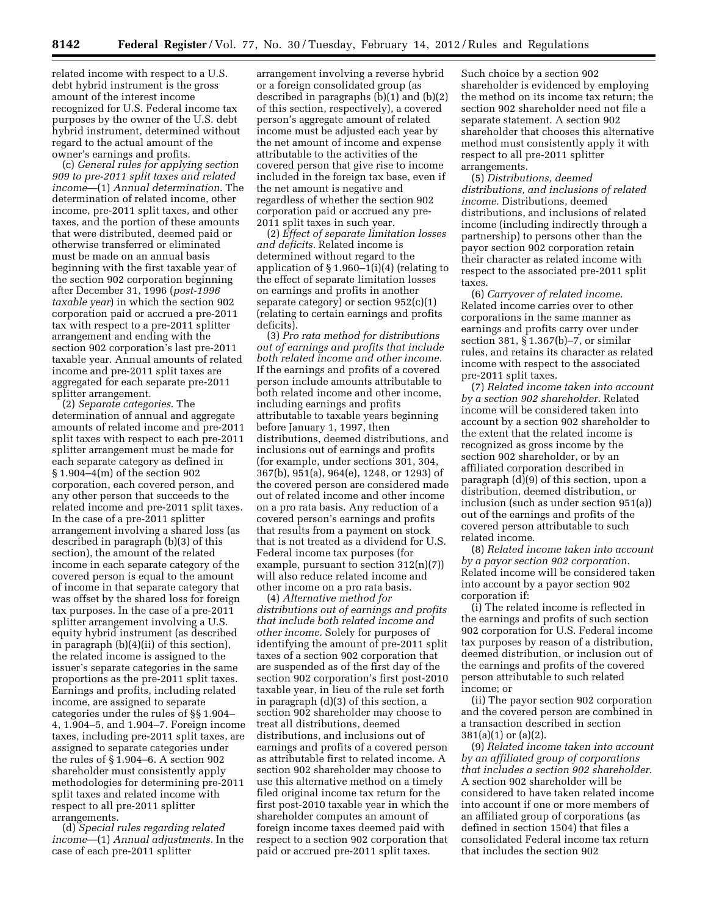related income with respect to a U.S. debt hybrid instrument is the gross amount of the interest income recognized for U.S. Federal income tax purposes by the owner of the U.S. debt hybrid instrument, determined without regard to the actual amount of the owner's earnings and profits.

(c) *General rules for applying section 909 to pre-2011 split taxes and related income*—(1) *Annual determination*. The determination of related income, other income, pre-2011 split taxes, and other taxes, and the portion of these amounts that were distributed, deemed paid or otherwise transferred or eliminated must be made on an annual basis beginning with the first taxable year of the section 902 corporation beginning after December 31, 1996 (*post-1996 taxable year*) in which the section 902 corporation paid or accrued a pre-2011 tax with respect to a pre-2011 splitter arrangement and ending with the section 902 corporation's last pre-2011 taxable year. Annual amounts of related income and pre-2011 split taxes are aggregated for each separate pre-2011 splitter arrangement.

(2) *Separate categories*. The determination of annual and aggregate amounts of related income and pre-2011 split taxes with respect to each pre-2011 splitter arrangement must be made for each separate category as defined in § 1.904–4(m) of the section 902 corporation, each covered person, and any other person that succeeds to the related income and pre-2011 split taxes. In the case of a pre-2011 splitter arrangement involving a shared loss (as described in paragraph (b)(3) of this section), the amount of the related income in each separate category of the covered person is equal to the amount of income in that separate category that was offset by the shared loss for foreign tax purposes. In the case of a pre-2011 splitter arrangement involving a U.S. equity hybrid instrument (as described in paragraph (b)(4)(ii) of this section), the related income is assigned to the issuer's separate categories in the same proportions as the pre-2011 split taxes. Earnings and profits, including related income, are assigned to separate categories under the rules of §§ 1.904– 4, 1.904–5, and 1.904–7. Foreign income taxes, including pre-2011 split taxes, are assigned to separate categories under the rules of § 1.904–6. A section 902 shareholder must consistently apply methodologies for determining pre-2011 split taxes and related income with respect to all pre-2011 splitter arrangements.

(d) *Special rules regarding related income*—(1) *Annual adjustments.* In the case of each pre-2011 splitter

arrangement involving a reverse hybrid or a foreign consolidated group (as described in paragraphs (b)(1) and (b)(2) of this section, respectively), a covered person's aggregate amount of related income must be adjusted each year by the net amount of income and expense attributable to the activities of the covered person that give rise to income included in the foreign tax base, even if the net amount is negative and regardless of whether the section 902 corporation paid or accrued any pre-2011 split taxes in such year.

(2) *Effect of separate limitation losses and deficits.* Related income is determined without regard to the application of  $\S 1.960-1(i)(4)$  (relating to the effect of separate limitation losses on earnings and profits in another separate category) or section 952(c)(1) (relating to certain earnings and profits deficits).

(3) *Pro rata method for distributions out of earnings and profits that include both related income and other income.*  If the earnings and profits of a covered person include amounts attributable to both related income and other income, including earnings and profits attributable to taxable years beginning before January 1, 1997, then distributions, deemed distributions, and inclusions out of earnings and profits (for example, under sections 301, 304, 367(b), 951(a), 964(e), 1248, or 1293) of the covered person are considered made out of related income and other income on a pro rata basis. Any reduction of a covered person's earnings and profits that results from a payment on stock that is not treated as a dividend for U.S. Federal income tax purposes (for example, pursuant to section  $312(n)(7)$ will also reduce related income and other income on a pro rata basis.

(4) *Alternative method for distributions out of earnings and profits that include both related income and other income.* Solely for purposes of identifying the amount of pre-2011 split taxes of a section 902 corporation that are suspended as of the first day of the section 902 corporation's first post-2010 taxable year, in lieu of the rule set forth in paragraph (d)(3) of this section, a section 902 shareholder may choose to treat all distributions, deemed distributions, and inclusions out of earnings and profits of a covered person as attributable first to related income. A section 902 shareholder may choose to use this alternative method on a timely filed original income tax return for the first post-2010 taxable year in which the shareholder computes an amount of foreign income taxes deemed paid with respect to a section 902 corporation that paid or accrued pre-2011 split taxes.

Such choice by a section 902 shareholder is evidenced by employing the method on its income tax return; the section 902 shareholder need not file a separate statement. A section 902 shareholder that chooses this alternative method must consistently apply it with respect to all pre-2011 splitter arrangements.

(5) *Distributions, deemed distributions, and inclusions of related income.* Distributions, deemed distributions, and inclusions of related income (including indirectly through a partnership) to persons other than the payor section 902 corporation retain their character as related income with respect to the associated pre-2011 split taxes.

(6) *Carryover of related income.*  Related income carries over to other corporations in the same manner as earnings and profits carry over under section 381, § 1.367(b)–7, or similar rules, and retains its character as related income with respect to the associated pre-2011 split taxes.

(7) *Related income taken into account by a section 902 shareholder.* Related income will be considered taken into account by a section 902 shareholder to the extent that the related income is recognized as gross income by the section 902 shareholder, or by an affiliated corporation described in paragraph (d)(9) of this section, upon a distribution, deemed distribution, or inclusion (such as under section 951(a)) out of the earnings and profits of the covered person attributable to such related income.

(8) *Related income taken into account by a payor section 902 corporation.*  Related income will be considered taken into account by a payor section 902 corporation if:

(i) The related income is reflected in the earnings and profits of such section 902 corporation for U.S. Federal income tax purposes by reason of a distribution, deemed distribution, or inclusion out of the earnings and profits of the covered person attributable to such related income; or

(ii) The payor section 902 corporation and the covered person are combined in a transaction described in section 381(a)(1) or (a)(2).

(9) *Related income taken into account by an affiliated group of corporations that includes a section 902 shareholder.*  A section 902 shareholder will be considered to have taken related income into account if one or more members of an affiliated group of corporations (as defined in section 1504) that files a consolidated Federal income tax return that includes the section 902